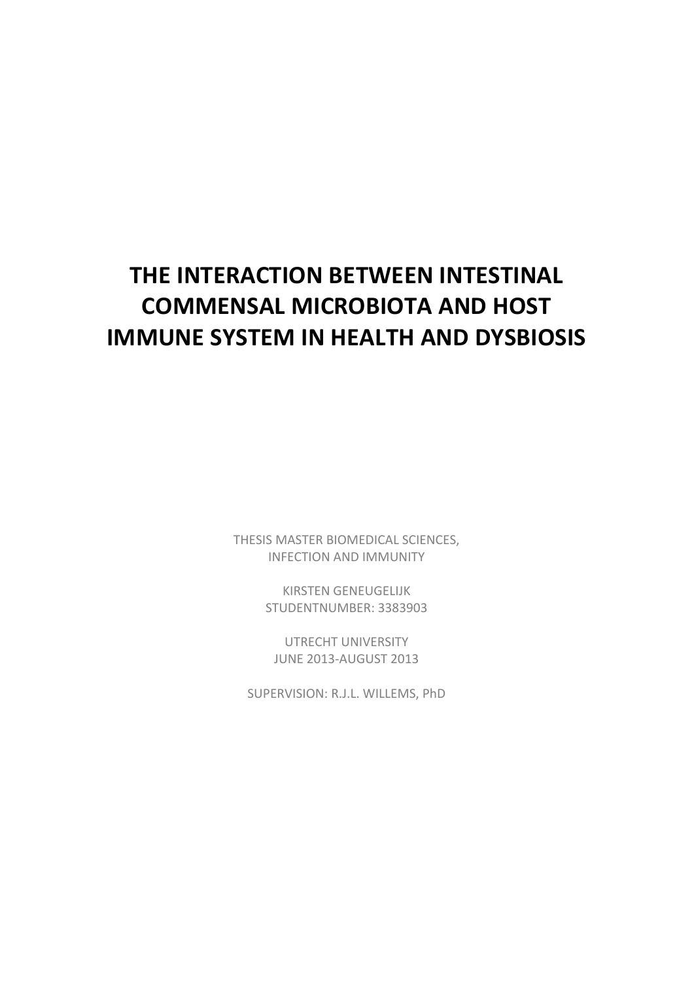# **THE INTERACTION BETWEEN INTESTINAL COMMENSAL MICROBIOTA AND HOST IMMUNE SYSTEM IN HEALTH AND DYSBIOSIS**

THESIS MASTER BIOMEDICAL SCIENCES, INFECTION AND IMMUNITY

> KIRSTEN GENEUGELIJK STUDENTNUMBER: 3383903

UTRECHT UNIVERSITY JUNE 2013-AUGUST 2013

SUPERVISION: R.J.L. WILLEMS, PhD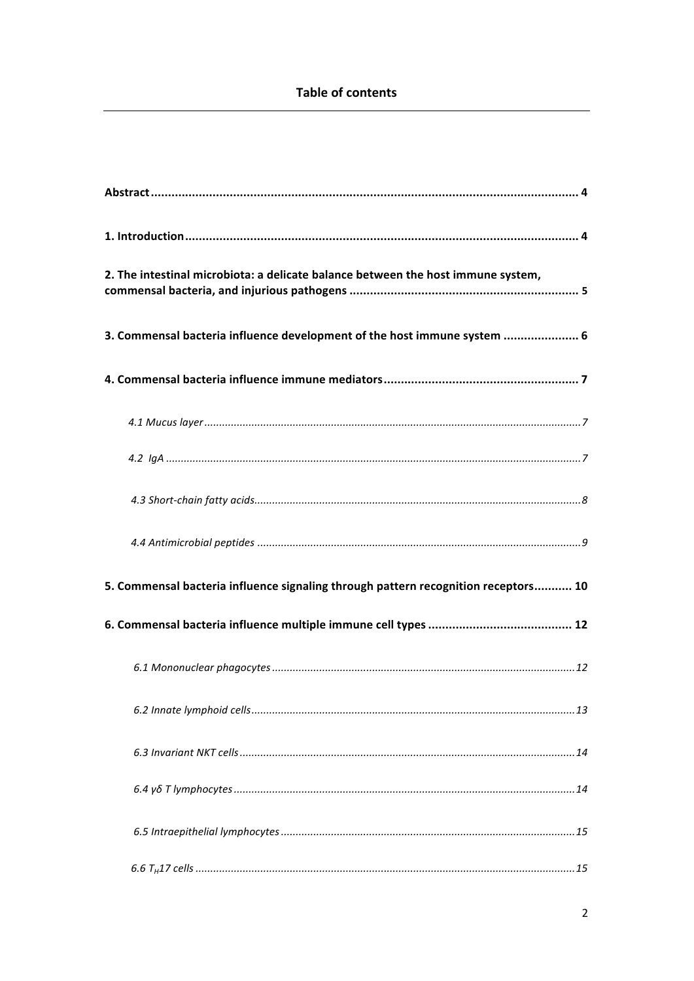| 2. The intestinal microbiota: a delicate balance between the host immune system,   |
|------------------------------------------------------------------------------------|
| 3. Commensal bacteria influence development of the host immune system  6           |
|                                                                                    |
|                                                                                    |
|                                                                                    |
|                                                                                    |
|                                                                                    |
| 5. Commensal bacteria influence signaling through pattern recognition receptors 10 |
|                                                                                    |
|                                                                                    |
|                                                                                    |
|                                                                                    |
|                                                                                    |
|                                                                                    |
|                                                                                    |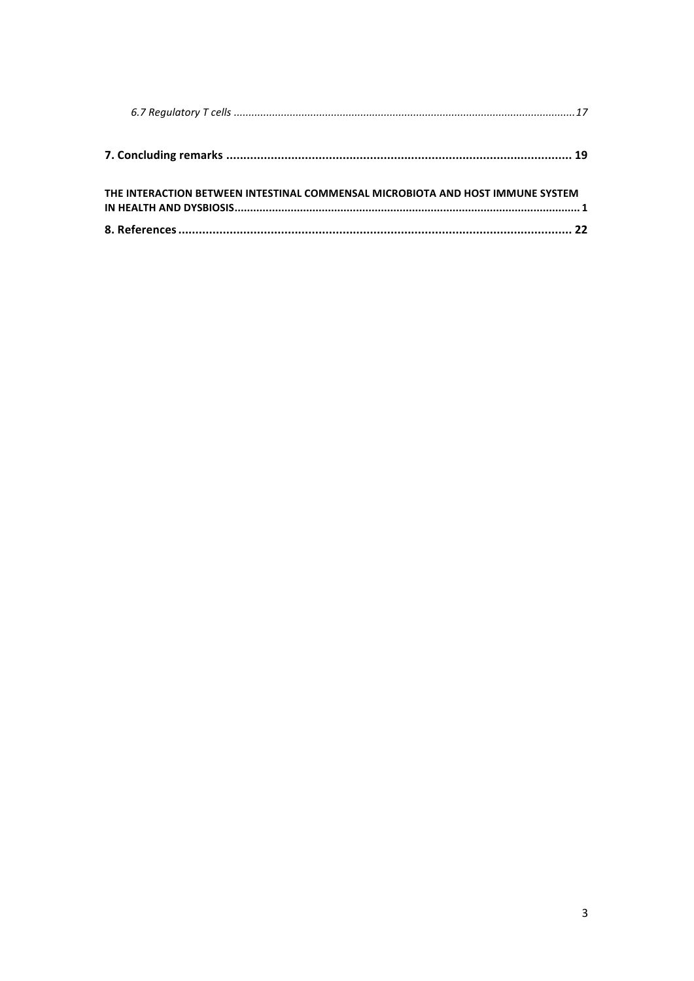| THE INTERACTION BETWEEN INTESTINAL COMMENSAL MICROBIOTA AND HOST IMMUNE SYSTEM |  |
|--------------------------------------------------------------------------------|--|
|                                                                                |  |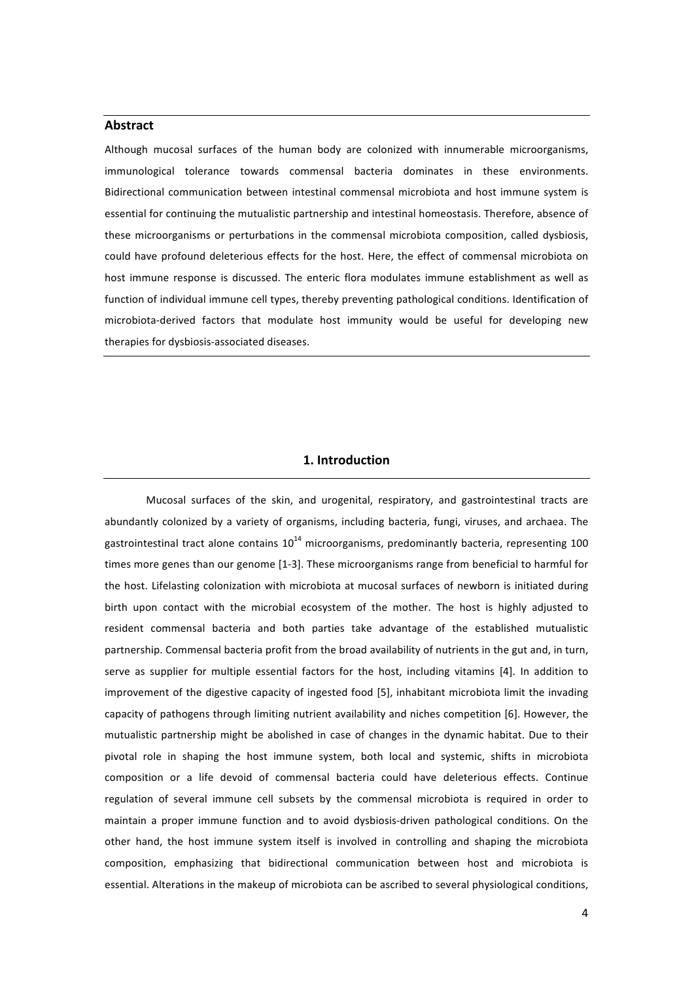## **Abstract**

Although mucosal surfaces of the human body are colonized with innumerable microorganisms, immunological tolerance towards commensal bacteria dominates in these environments. Bidirectional communication between intestinal commensal microbiota and host immune system is essential for continuing the mutualistic partnership and intestinal homeostasis. Therefore, absence of these microorganisms or perturbations in the commensal microbiota composition, called dysbiosis, could have profound deleterious effects for the host. Here, the effect of commensal microbiota on host immune response is discussed. The enteric flora modulates immune establishment as well as function of individual immune cell types, thereby preventing pathological conditions. Identification of microbiota-derived factors that modulate host immunity would be useful for developing new therapies for dysbiosis-associated diseases.

## **1.** Introduction

Mucosal surfaces of the skin, and urogenital, respiratory, and gastrointestinal tracts are abundantly colonized by a variety of organisms, including bacteria, fungi, viruses, and archaea. The gastrointestinal tract alone contains  $10^{14}$  microorganisms, predominantly bacteria, representing 100 times more genes than our genome [1-3]. These microorganisms range from beneficial to harmful for the host. Lifelasting colonization with microbiota at mucosal surfaces of newborn is initiated during birth upon contact with the microbial ecosystem of the mother. The host is highly adjusted to resident commensal bacteria and both parties take advantage of the established mutualistic partnership. Commensal bacteria profit from the broad availability of nutrients in the gut and, in turn, serve as supplier for multiple essential factors for the host, including vitamins [4]. In addition to improvement of the digestive capacity of ingested food [5], inhabitant microbiota limit the invading capacity of pathogens through limiting nutrient availability and niches competition [6]. However, the mutualistic partnership might be abolished in case of changes in the dynamic habitat. Due to their pivotal role in shaping the host immune system, both local and systemic, shifts in microbiota composition or a life devoid of commensal bacteria could have deleterious effects. Continue regulation of several immune cell subsets by the commensal microbiota is required in order to maintain a proper immune function and to avoid dysbiosis-driven pathological conditions. On the other hand, the host immune system itself is involved in controlling and shaping the microbiota composition, emphasizing that bidirectional communication between host and microbiota is essential. Alterations in the makeup of microbiota can be ascribed to several physiological conditions,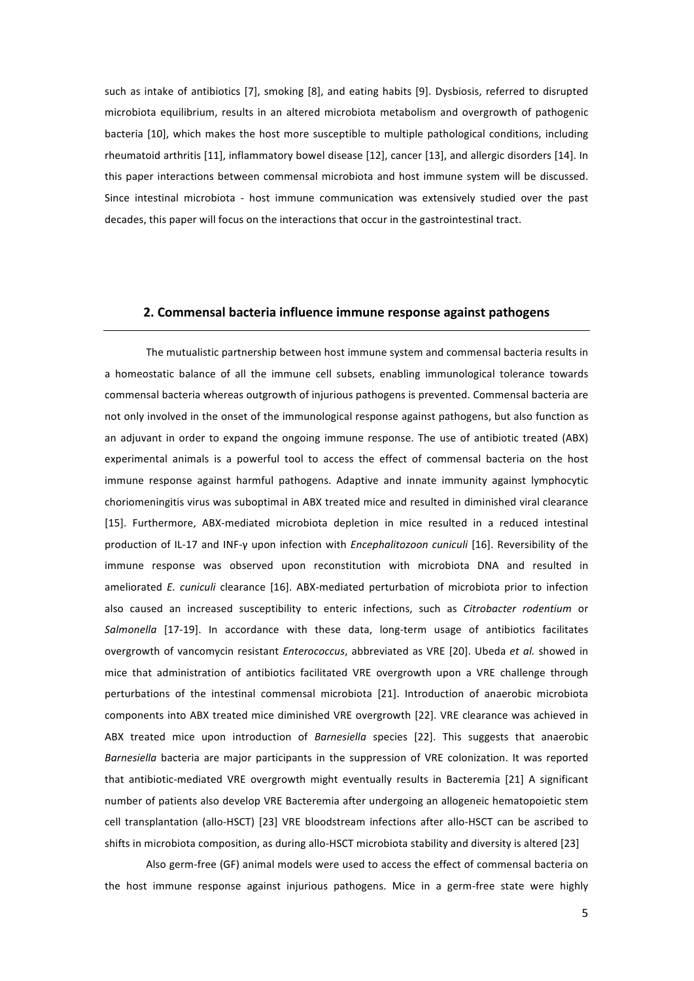such as intake of antibiotics [7], smoking [8], and eating habits [9]. Dysbiosis, referred to disrupted microbiota equilibrium, results in an altered microbiota metabolism and overgrowth of pathogenic bacteria [10], which makes the host more susceptible to multiple pathological conditions, including rheumatoid arthritis [11], inflammatory bowel disease [12], cancer [13], and allergic disorders [14]. In this paper interactions between commensal microbiota and host immune system will be discussed. Since intestinal microbiota - host immune communication was extensively studied over the past decades, this paper will focus on the interactions that occur in the gastrointestinal tract.

## **2.\$Commensal\$bacteria influence\$immune\$response\$against\$pathogens**

The mutualistic partnership between host immune system and commensal bacteria results in a homeostatic balance of all the immune cell subsets, enabling immunological tolerance towards commensal bacteria whereas outgrowth of injurious pathogens is prevented. Commensal bacteria are not only involved in the onset of the immunological response against pathogens, but also function as an adjuvant in order to expand the ongoing immune response. The use of antibiotic treated (ABX) experimental animals is a powerful tool to access the effect of commensal bacteria on the host immune response against harmful pathogens. Adaptive and innate immunity against lymphocytic choriomeningitis virus was suboptimal in ABX treated mice and resulted in diminished viral clearance [15]. Furthermore, ABX-mediated microbiota depletion in mice resulted in a reduced intestinal production of IL-17 and INF-γ upon infection with *Encephalitozoon cuniculi* [16]. Reversibility of the immune response was observed upon reconstitution with microbiota DNA and resulted in ameliorated *E. cuniculi* clearance [16]. ABX-mediated perturbation of microbiota prior to infection also caused an increased susceptibility to enteric infections, such as *Citrobacter rodentium* or Salmonella [17-19]. In accordance with these data, long-term usage of antibiotics facilitates overgrowth of vancomycin resistant *Enterococcus*, abbreviated as VRE [20]. Ubeda et al. showed in mice that administration of antibiotics facilitated VRE overgrowth upon a VRE challenge through perturbations of the intestinal commensal microbiota [21]. Introduction of anaerobic microbiota components into ABX treated mice diminished VRE overgrowth [22]. VRE clearance was achieved in ABX treated mice upon introduction of *Barnesiella* species [22]. This suggests that anaerobic *Barnesiella* bacteria are major participants in the suppression of VRE colonization. It was reported that antibiotic-mediated VRE overgrowth might eventually results in Bacteremia [21] A significant number of patients also develop VRE Bacteremia after undergoing an allogeneic hematopoietic stem cell transplantation (allo-HSCT) [23] VRE bloodstream infections after allo-HSCT can be ascribed to shifts in microbiota composition, as during allo-HSCT microbiota stability and diversity is altered [23]

Also germ-free (GF) animal models were used to access the effect of commensal bacteria on the host immune response against injurious pathogens. Mice in a germ-free state were highly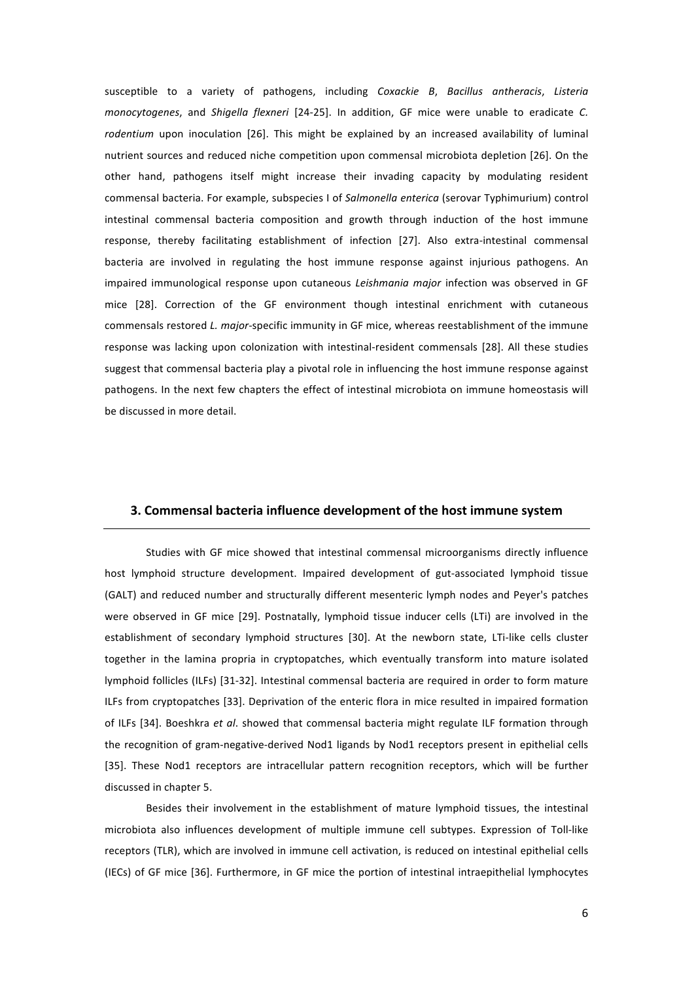susceptible to a variety of pathogens, including *Coxackie B*, *Bacillus antheracis*, *Listeria monocytogenes*, and *Shigella flexneri* [24-25]. In addition, GF mice were unable to eradicate *C.* rodentium upon inoculation [26]. This might be explained by an increased availability of luminal nutrient sources and reduced niche competition upon commensal microbiota depletion [26]. On the other hand, pathogens itself might increase their invading capacity by modulating resident commensal bacteria. For example, subspecies I of Salmonella enterica (serovar Typhimurium) control intestinal commensal bacteria composition and growth through induction of the host immune response, thereby facilitating establishment of infection [27]. Also extra-intestinal commensal bacteria are involved in regulating the host immune response against injurious pathogens. An impaired immunological response upon cutaneous *Leishmania major* infection was observed in GF mice [28]. Correction of the GF environment though intestinal enrichment with cutaneous commensals restored *L. major-specific immunity in GF mice*, whereas reestablishment of the immune response was lacking upon colonization with intestinal-resident commensals [28]. All these studies suggest that commensal bacteria play a pivotal role in influencing the host immune response against pathogens. In the next few chapters the effect of intestinal microbiota on immune homeostasis will be discussed in more detail.

## **3.\$Commensal\$bacteria influence development\$of the\$host\$immune\$system**

Studies with GF mice showed that intestinal commensal microorganisms directly influence host lymphoid structure development. Impaired development of gut-associated lymphoid tissue (GALT) and reduced number and structurally different mesenteric lymph nodes and Peyer's patches were observed in GF mice [29]. Postnatally, lymphoid tissue inducer cells (LTi) are involved in the establishment of secondary lymphoid structures [30]. At the newborn state, LTi-like cells cluster together in the lamina propria in cryptopatches, which eventually transform into mature isolated lymphoid follicles (ILFs) [31-32]. Intestinal commensal bacteria are required in order to form mature ILFs from cryptopatches [33]. Deprivation of the enteric flora in mice resulted in impaired formation of ILFs [34]. Boeshkra et al. showed that commensal bacteria might regulate ILF formation through the recognition of gram-negative-derived Nod1 ligands by Nod1 receptors present in epithelial cells [35]. These Nod1 receptors are intracellular pattern recognition receptors, which will be further discussed in chapter 5.

Besides their involvement in the establishment of mature lymphoid tissues, the intestinal microbiota also influences development of multiple immune cell subtypes. Expression of Toll-like receptors (TLR), which are involved in immune cell activation, is reduced on intestinal epithelial cells (IECs) of GF mice [36]. Furthermore, in GF mice the portion of intestinal intraepithelial lymphocytes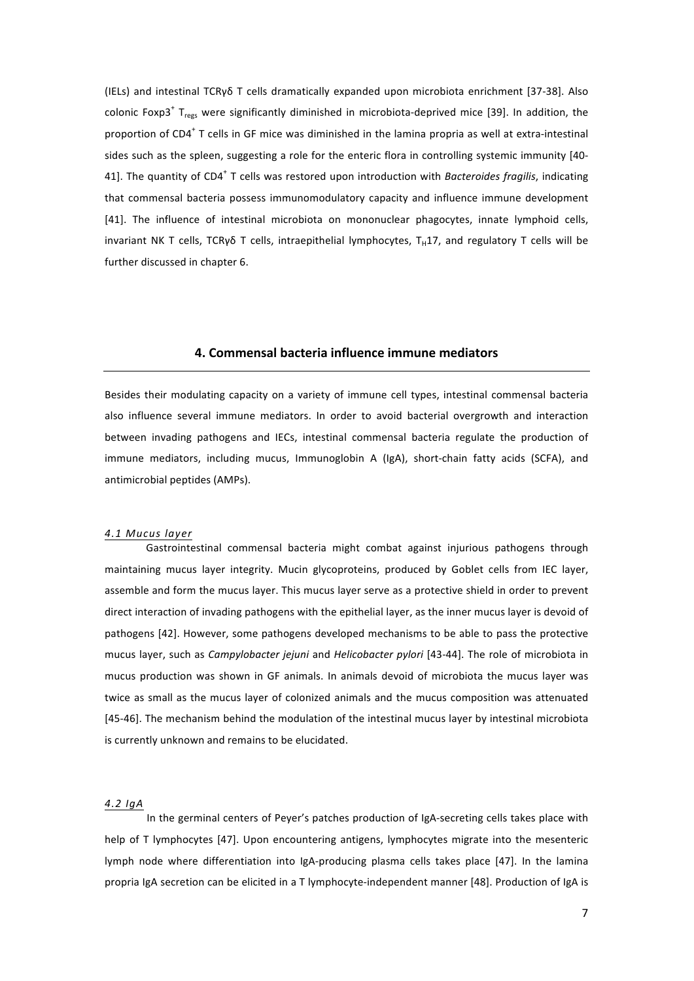(IELs) and intestinal TCRγδ T cells dramatically expanded upon microbiota enrichment [37-38]. Also colonic Foxp3<sup>+</sup> T<sub>regs</sub> were significantly diminished in microbiota-deprived mice [39]. In addition, the proportion of  $CD4^+$  T cells in GF mice was diminished in the lamina propria as well at extra-intestinal sides such as the spleen, suggesting a role for the enteric flora in controlling systemic immunity [40-41]. The quantity of  $CD4^+$  T cells was restored upon introduction with *Bacteroides fragilis*, indicating that commensal bacteria possess immunomodulatory capacity and influence immune development [41]. The influence of intestinal microbiota on mononuclear phagocytes, innate lymphoid cells, invariant NK T cells, TCRγδ T cells, intraepithelial lymphocytes, T<sub>H</sub>17, and regulatory T cells will be further discussed in chapter 6.

#### **4.\$Commensal\$bacteria influence immune\$mediators**

Besides their modulating capacity on a variety of immune cell types, intestinal commensal bacteria also influence several immune mediators. In order to avoid bacterial overgrowth and interaction between invading pathogens and IECs, intestinal commensal bacteria regulate the production of immune mediators, including mucus, Immunoglobin A (IgA), short-chain fatty acids (SCFA), and antimicrobial peptides (AMPs).

#### *4.1!Mucus!layer*

Gastrointestinal commensal bacteria might combat against injurious pathogens through maintaining mucus layer integrity. Mucin glycoproteins, produced by Goblet cells from IEC layer, assemble and form the mucus layer. This mucus layer serve as a protective shield in order to prevent direct interaction of invading pathogens with the epithelial layer, as the inner mucus layer is devoid of pathogens [42]. However, some pathogens developed mechanisms to be able to pass the protective mucus layer, such as *Campylobacter jejuni* and *Helicobacter pylori* [43-44]. The role of microbiota in mucus production was shown in GF animals. In animals devoid of microbiota the mucus layer was twice as small as the mucus layer of colonized animals and the mucus composition was attenuated [45-46]. The mechanism behind the modulation of the intestinal mucus layer by intestinal microbiota is currently unknown and remains to be elucidated.

#### *4.2!IgA*

In the germinal centers of Peyer's patches production of IgA-secreting cells takes place with help of T lymphocytes [47]. Upon encountering antigens, lymphocytes migrate into the mesenteric lymph node where differentiation into IgA-producing plasma cells takes place [47]. In the lamina propria IgA secretion can be elicited in a T lymphocyte-independent manner [48]. Production of IgA is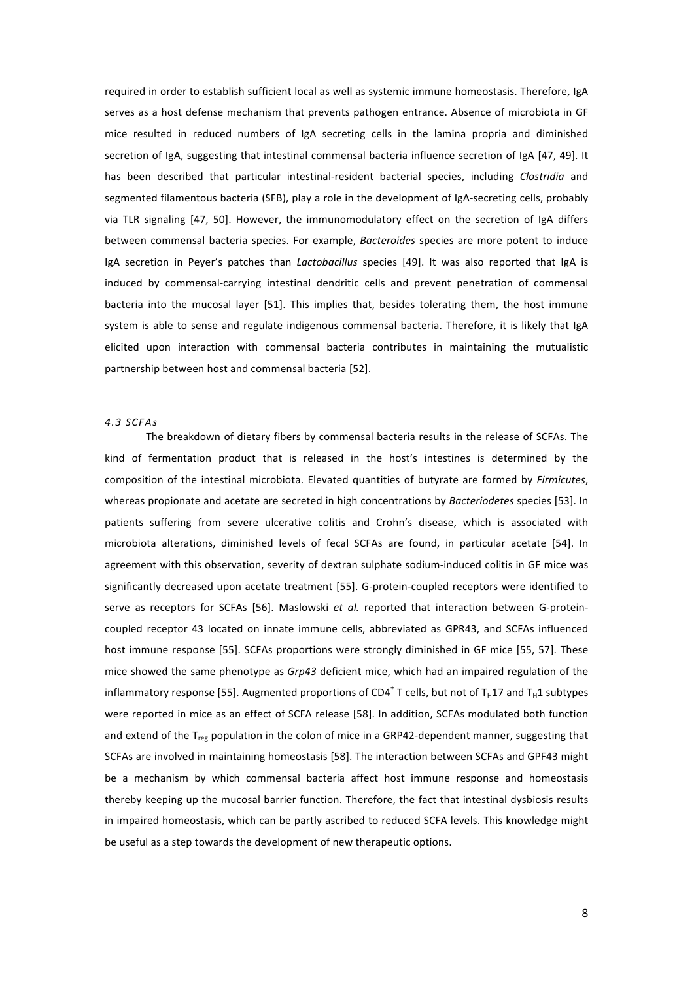required in order to establish sufficient local as well as systemic immune homeostasis. Therefore, IgA serves as a host defense mechanism that prevents pathogen entrance. Absence of microbiota in GF mice resulted in reduced numbers of IgA secreting cells in the lamina propria and diminished secretion of IgA, suggesting that intestinal commensal bacteria influence secretion of IgA [47, 49]. It has been described that particular intestinal-resident bacterial species, including *Clostridia* and segmented filamentous bacteria (SFB), play a role in the development of IgA-secreting cells, probably via TLR signaling [47, 50]. However, the immunomodulatory effect on the secretion of IgA differs between commensal bacteria species. For example, Bacteroides species are more potent to induce IgA secretion in Peyer's patches than *Lactobacillus* species [49]. It was also reported that IgA is induced by commensal-carrying intestinal dendritic cells and prevent penetration of commensal bacteria into the mucosal layer [51]. This implies that, besides tolerating them, the host immune system is able to sense and regulate indigenous commensal bacteria. Therefore, it is likely that IgA elicited upon interaction with commensal bacteria contributes in maintaining the mutualistic partnership between host and commensal bacteria [52].

#### *4.3!SCFAs*

The breakdown of dietary fibers by commensal bacteria results in the release of SCFAs. The kind of fermentation product that is released in the host's intestines is determined by the composition of the intestinal microbiota. Elevated quantities of butyrate are formed by *Firmicutes*, whereas propionate and acetate are secreted in high concentrations by *Bacteriodetes* species [53]. In patients suffering from severe ulcerative colitis and Crohn's disease, which is associated with microbiota alterations, diminished levels of fecal SCFAs are found, in particular acetate [54]. In agreement with this observation, severity of dextran sulphate sodium-induced colitis in GF mice was significantly decreased upon acetate treatment [55]. G-protein-coupled receptors were identified to serve as receptors for SCFAs [56]. Maslowski et al. reported that interaction between G-proteincoupled receptor 43 located on innate immune cells, abbreviated as GPR43, and SCFAs influenced host immune response [55]. SCFAs proportions were strongly diminished in GF mice [55, 57]. These mice showed the same phenotype as *Grp43* deficient mice, which had an impaired regulation of the inflammatory response [55]. Augmented proportions of CD4<sup>+</sup> T cells, but not of T<sub>H</sub>17 and T<sub>H</sub>1 subtypes were reported in mice as an effect of SCFA release [58]. In addition, SCFAs modulated both function and extend of the  $T_{ref}$  population in the colon of mice in a GRP42-dependent manner, suggesting that SCFAs are involved in maintaining homeostasis [58]. The interaction between SCFAs and GPF43 might be a mechanism by which commensal bacteria affect host immune response and homeostasis thereby keeping up the mucosal barrier function. Therefore, the fact that intestinal dysbiosis results in impaired homeostasis, which can be partly ascribed to reduced SCFA levels. This knowledge might be useful as a step towards the development of new therapeutic options.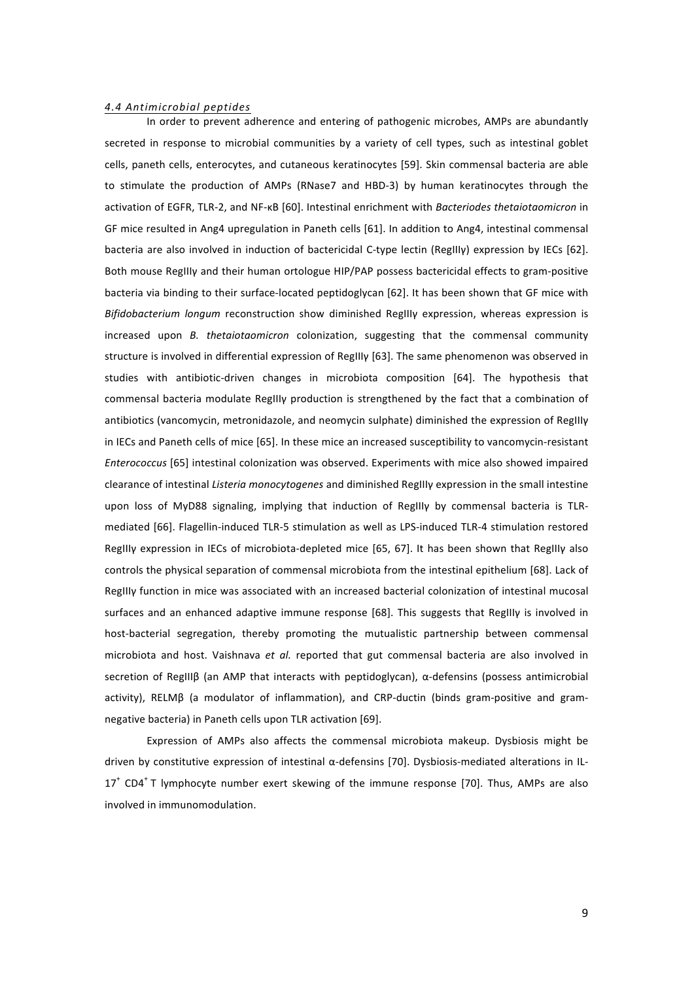#### *4.4!Antimicrobial!peptides*

In order to prevent adherence and entering of pathogenic microbes, AMPs are abundantly secreted in response to microbial communities by a variety of cell types, such as intestinal goblet cells, paneth cells, enterocytes, and cutaneous keratinocytes [59]. Skin commensal bacteria are able to stimulate the production of AMPs (RNase7 and HBD-3) by human keratinocytes through the activation of EGFR, TLR-2, and NF-κB [60]. Intestinal enrichment with *Bacteriodes thetaiotaomicron* in GF mice resulted in Ang4 upregulation in Paneth cells [61]. In addition to Ang4, intestinal commensal bacteria are also involved in induction of bactericidal C-type lectin (RegIIIy) expression by IECs [62]. Both mouse RegIIIy and their human ortologue HIP/PAP possess bactericidal effects to gram-positive bacteria via binding to their surface-located peptidoglycan [62]. It has been shown that GF mice with *Bifidobacterium longum* reconstruction show diminished RegIIIy expression, whereas expression is increased upon *B. thetaiotaomicron* colonization, suggesting that the commensal community structure is involved in differential expression of RegIIIy [63]. The same phenomenon was observed in studies with antibiotic-driven changes in microbiota composition [64]. The hypothesis that commensal bacteria modulate RegIIIy production is strengthened by the fact that a combination of antibiotics (vancomycin, metronidazole, and neomycin sulphate) diminished the expression of RegIIIy in IECs and Paneth cells of mice [65]. In these mice an increased susceptibility to vancomycin-resistant *Enterococcus* [65] intestinal colonization was observed. Experiments with mice also showed impaired clearance of intestinal *Listeria monocytogenes* and diminished RegIIIy expression in the small intestine upon loss of MyD88 signaling, implying that induction of RegIIIy by commensal bacteria is TLRmediated [66]. Flagellin-induced TLR-5 stimulation as well as LPS-induced TLR-4 stimulation restored RegIIIy expression in IECs of microbiota-depleted mice [65, 67]. It has been shown that RegIIIy also controls the physical separation of commensal microbiota from the intestinal epithelium [68]. Lack of RegIIIy function in mice was associated with an increased bacterial colonization of intestinal mucosal surfaces and an enhanced adaptive immune response [68]. This suggests that RegIIIy is involved in host-bacterial segregation, thereby promoting the mutualistic partnership between commensal microbiota and host. Vaishnava et al. reported that gut commensal bacteria are also involved in secretion of RegIIIβ (an AMP that interacts with peptidoglycan), α-defensins (possess antimicrobial activity), RELMβ (a modulator of inflammation), and CRP-ductin (binds gram-positive and gramnegative bacteria) in Paneth cells upon TLR activation [69].

Expression of AMPs also affects the commensal microbiota makeup. Dysbiosis might be driven by constitutive expression of intestinal α-defensins [70]. Dysbiosis-mediated alterations in IL- $17<sup>+</sup>$  CD4<sup>+</sup> T lymphocyte number exert skewing of the immune response [70]. Thus, AMPs are also involved in immunomodulation.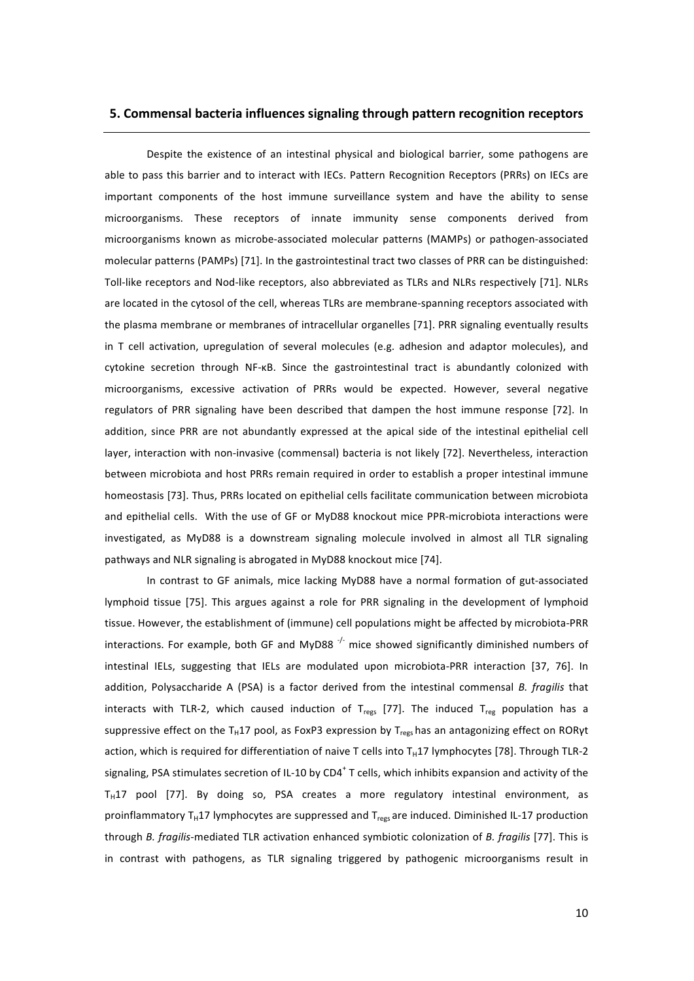## **5.\$Commensal\$bacteria influences\$signaling\$through\$pattern\$recognition\$receptors**

Despite the existence of an intestinal physical and biological barrier, some pathogens are able to pass this barrier and to interact with IECs. Pattern Recognition Receptors (PRRs) on IECs are important components of the host immune surveillance system and have the ability to sense microorganisms. These receptors of innate immunity sense components derived from microorganisms known as microbe-associated molecular patterns (MAMPs) or pathogen-associated molecular patterns (PAMPs) [71]. In the gastrointestinal tract two classes of PRR can be distinguished: Toll-like receptors and Nod-like receptors, also abbreviated as TLRs and NLRs respectively [71]. NLRs are located in the cytosol of the cell, whereas TLRs are membrane-spanning receptors associated with the plasma membrane or membranes of intracellular organelles [71]. PRR signaling eventually results in T cell activation, upregulation of several molecules (e.g. adhesion and adaptor molecules), and cytokine secretion through NF-κB. Since the gastrointestinal tract is abundantly colonized with microorganisms, excessive activation of PRRs would be expected. However, several negative regulators of PRR signaling have been described that dampen the host immune response [72]. In addition, since PRR are not abundantly expressed at the apical side of the intestinal epithelial cell layer, interaction with non-invasive (commensal) bacteria is not likely [72]. Nevertheless, interaction between microbiota and host PRRs remain required in order to establish a proper intestinal immune homeostasis [73]. Thus, PRRs located on epithelial cells facilitate communication between microbiota and epithelial cells. With the use of GF or MyD88 knockout mice PPR-microbiota interactions were investigated, as MyD88 is a downstream signaling molecule involved in almost all TLR signaling pathways and NLR signaling is abrogated in MyD88 knockout mice [74].

In contrast to GF animals, mice lacking MyD88 have a normal formation of gut-associated lymphoid tissue [75]. This argues against a role for PRR signaling in the development of lymphoid tissue. However, the establishment of (immune) cell populations might be affected by microbiota-PRR interactions. For example, both GF and MyD88  $\cdot$  mice showed significantly diminished numbers of intestinal IELs, suggesting that IELs are modulated upon microbiota-PRR interaction [37, 76]. In addition, Polysaccharide A (PSA) is a factor derived from the intestinal commensal *B. fragilis* that interacts with TLR-2, which caused induction of T<sub>regs</sub> [77]. The induced T<sub>reg</sub> population has a suppressive effect on the T<sub>H</sub>17 pool, as FoxP3 expression by T<sub>regs</sub> has an antagonizing effect on RORγt action, which is required for differentiation of naive T cells into T<sub>H</sub>17 lymphocytes [78]. Through TLR-2 signaling, PSA stimulates secretion of IL-10 by CD4<sup>+</sup> T cells, which inhibits expansion and activity of the  $T_H$ 17 pool [77]. By doing so, PSA creates a more regulatory intestinal environment, as proinflammatory T<sub>H</sub>17 lymphocytes are suppressed and T<sub>regs</sub> are induced. Diminished IL-17 production through *B. fragilis*-mediated TLR activation enhanced symbiotic colonization of *B. fragilis* [77]. This is in contrast with pathogens, as TLR signaling triggered by pathogenic microorganisms result in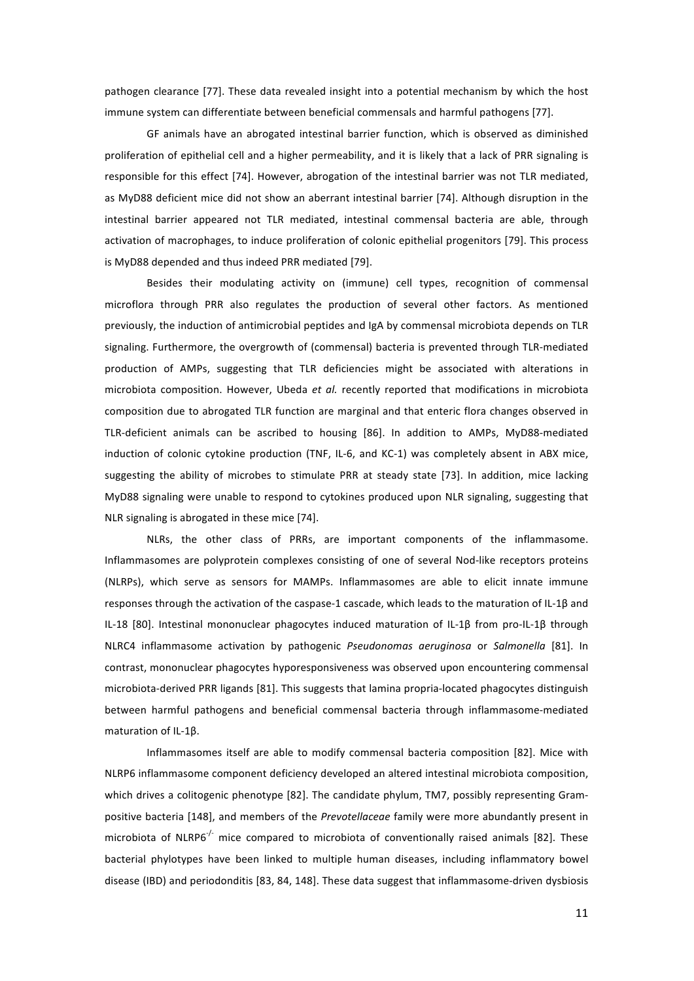pathogen clearance [77]. These data revealed insight into a potential mechanism by which the host immune system can differentiate between beneficial commensals and harmful pathogens [77].

GF animals have an abrogated intestinal barrier function, which is observed as diminished proliferation of epithelial cell and a higher permeability, and it is likely that a lack of PRR signaling is responsible for this effect [74]. However, abrogation of the intestinal barrier was not TLR mediated, as MyD88 deficient mice did not show an aberrant intestinal barrier [74]. Although disruption in the intestinal barrier appeared not TLR mediated, intestinal commensal bacteria are able, through activation of macrophages, to induce proliferation of colonic epithelial progenitors [79]. This process is MyD88 depended and thus indeed PRR mediated [79].

Besides their modulating activity on (immune) cell types, recognition of commensal microflora through PRR also regulates the production of several other factors. As mentioned previously, the induction of antimicrobial peptides and IgA by commensal microbiota depends on TLR signaling. Furthermore, the overgrowth of (commensal) bacteria is prevented through TLR-mediated production of AMPs, suggesting that TLR deficiencies might be associated with alterations in microbiota composition. However, Ubeda et al. recently reported that modifications in microbiota composition due to abrogated TLR function are marginal and that enteric flora changes observed in TLR-deficient animals can be ascribed to housing [86]. In addition to AMPs, MyD88-mediated induction of colonic cytokine production (TNF, IL-6, and KC-1) was completely absent in ABX mice, suggesting the ability of microbes to stimulate PRR at steady state [73]. In addition, mice lacking MyD88 signaling were unable to respond to cytokines produced upon NLR signaling, suggesting that NLR signaling is abrogated in these mice [74].

NLRs, the other class of PRRs, are important components of the inflammasome. Inflammasomes are polyprotein complexes consisting of one of several Nod-like receptors proteins (NLRPs), which serve as sensors for MAMPs. Inflammasomes are able to elicit innate immune responses through the activation of the caspase-1 cascade, which leads to the maturation of IL-1β and IL-18 [80]. Intestinal mononuclear phagocytes induced maturation of IL-1β from pro-IL-1β through NLRC4 inflammasome activation by pathogenic *Pseudonomas aeruginosa* or *Salmonella* [81]. In contrast, mononuclear phagocytes hyporesponsiveness was observed upon encountering commensal microbiota-derived PRR ligands [81]. This suggests that lamina propria-located phagocytes distinguish between harmful pathogens and beneficial commensal bacteria through inflammasome-mediated maturation of IL-1β.

Inflammasomes itself are able to modify commensal bacteria composition [82]. Mice with NLRP6 inflammasome component deficiency developed an altered intestinal microbiota composition, which drives a colitogenic phenotype [82]. The candidate phylum, TM7, possibly representing Grampositive bacteria [148], and members of the *Prevotellaceae* family were more abundantly present in microbiota of NLRP6<sup> $\frac{1}{r}$ </sup> mice compared to microbiota of conventionally raised animals [82]. These bacterial phylotypes have been linked to multiple human diseases, including inflammatory bowel disease (IBD) and periodonditis [83, 84, 148]. These data suggest that inflammasome-driven dysbiosis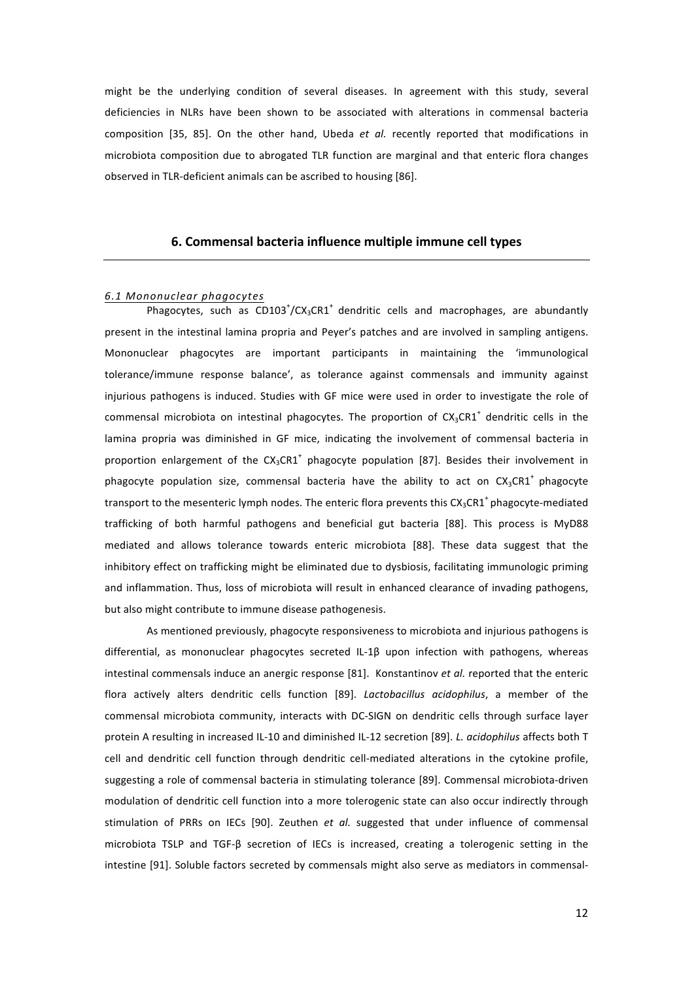might be the underlying condition of several diseases. In agreement with this study, several deficiencies in NLRs have been shown to be associated with alterations in commensal bacteria composition [35, 85]. On the other hand, Ubeda *et al.* recently reported that modifications in microbiota composition due to abrogated TLR function are marginal and that enteric flora changes observed in TLR-deficient animals can be ascribed to housing [86].

## **6. Commensal bacteria influence multiple immune cell types**

#### *6.1!Mononuclear!phagocytes*

Phagocytes, such as  $CD103<sup>+</sup>/CX<sub>3</sub>CR1<sup>+</sup>$  dendritic cells and macrophages, are abundantly present in the intestinal lamina propria and Peyer's patches and are involved in sampling antigens. Mononuclear phagocytes are important participants in maintaining the 'immunological tolerance/immune response balance', as tolerance against commensals and immunity against injurious pathogens is induced. Studies with GF mice were used in order to investigate the role of commensal microbiota on intestinal phagocytes. The proportion of  $CX_3CRI^+$  dendritic cells in the lamina propria was diminished in GF mice, indicating the involvement of commensal bacteria in proportion enlargement of the  $CX_3CRI^+$  phagocyte population [87]. Besides their involvement in phagocyte population size, commensal bacteria have the ability to act on  $CX_3CR1^*$  phagocyte transport to the mesenteric lymph nodes. The enteric flora prevents this  $CX_3CR1^+$ phagocyte-mediated trafficking of both harmful pathogens and beneficial gut bacteria [88]. This process is MyD88 mediated and allows tolerance towards enteric microbiota [88]. These data suggest that the inhibitory effect on trafficking might be eliminated due to dysbiosis, facilitating immunologic priming and inflammation. Thus, loss of microbiota will result in enhanced clearance of invading pathogens, but also might contribute to immune disease pathogenesis.

As mentioned previously, phagocyte responsiveness to microbiota and injurious pathogens is differential, as mononuclear phagocytes secreted IL-1β upon infection with pathogens, whereas intestinal commensals induce an anergic response [81]. Konstantinov *et al.* reported that the enteric flora actively alters dendritic cells function [89]. *Lactobacillus acidophilus*, a member of the commensal microbiota community, interacts with DC-SIGN on dendritic cells through surface layer protein A resulting in increased IL-10 and diminished IL-12 secretion [89]. *L. acidophilus* affects both T cell and dendritic cell function through dendritic cell-mediated alterations in the cytokine profile, suggesting a role of commensal bacteria in stimulating tolerance [89]. Commensal microbiota-driven modulation of dendritic cell function into a more tolerogenic state can also occur indirectly through stimulation of PRRs on IECs [90]. Zeuthen et al. suggested that under influence of commensal microbiota TSLP and TGF-β secretion of IECs is increased, creating a tolerogenic setting in the intestine [91]. Soluble factors secreted by commensals might also serve as mediators in commensal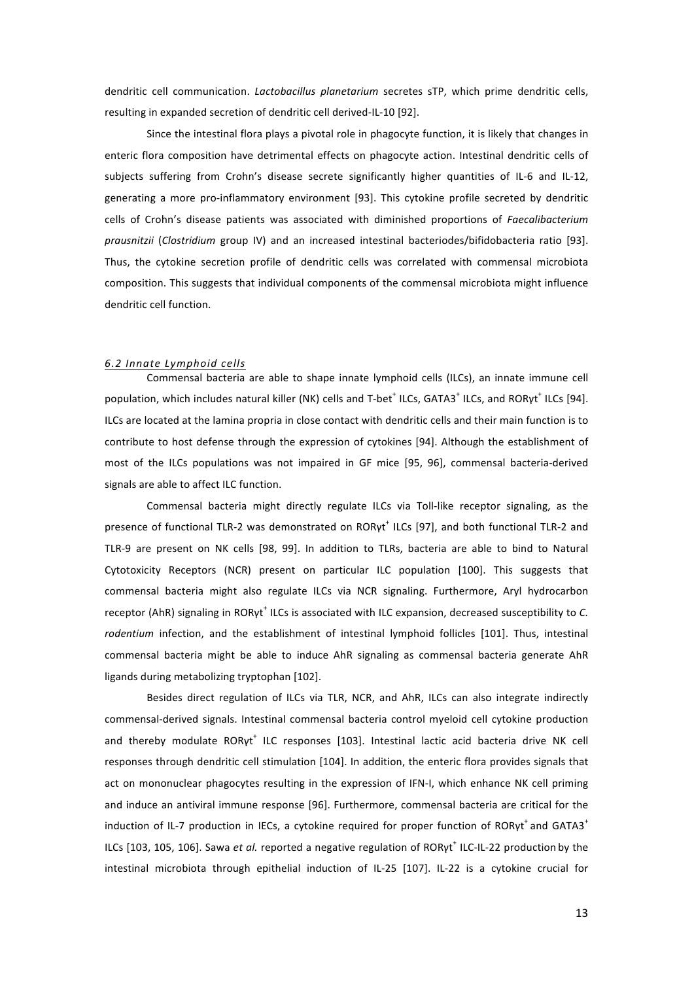dendritic cell communication. *Lactobacillus planetarium* secretes sTP, which prime dendritic cells, resulting in expanded secretion of dendritic cell derived-IL-10 [92].

Since the intestinal flora plays a pivotal role in phagocyte function, it is likely that changes in enteric flora composition have detrimental effects on phagocyte action. Intestinal dendritic cells of subjects suffering from Crohn's disease secrete significantly higher quantities of IL-6 and IL-12, generating a more pro-inflammatory environment [93]. This cytokine profile secreted by dendritic cells of Crohn's disease patients was associated with diminished proportions of *Faecalibacterium prausnitzii* (*Clostridium* group IV) and an increased intestinal bacteriodes/bifidobacteria ratio [93]. Thus, the cytokine secretion profile of dendritic cells was correlated with commensal microbiota composition. This suggests that individual components of the commensal microbiota might influence dendritic cell function.

#### *6.2!Innate!Lymphoid!cells*

Commensal bacteria are able to shape innate lymphoid cells (ILCs), an innate immune cell population, which includes natural killer (NK) cells and T-bet<sup>+</sup> ILCs, GATA3<sup>+</sup> ILCs, and RORyt<sup>+</sup> ILCs [94]. ILCs are located at the lamina propria in close contact with dendritic cells and their main function is to contribute to host defense through the expression of cytokines [94]. Although the establishment of most of the ILCs populations was not impaired in GF mice [95, 96], commensal bacteria-derived signals are able to affect ILC function.

Commensal bacteria might directly regulate ILCs via Toll-like receptor signaling, as the presence of functional TLR-2 was demonstrated on RORγt<sup>+</sup> ILCs [97], and both functional TLR-2 and TLR-9 are present on NK cells [98, 99]. In addition to TLRs, bacteria are able to bind to Natural Cytotoxicity Receptors (NCR) present on particular ILC population [100]. This suggests that commensal bacteria might also regulate ILCs via NCR signaling. Furthermore, Aryl hydrocarbon receptor (AhR) signaling in RORyt<sup>+</sup> ILCs is associated with ILC expansion, decreased susceptibility to C. rodentium infection, and the establishment of intestinal lymphoid follicles [101]. Thus, intestinal commensal bacteria might be able to induce AhR signaling as commensal bacteria generate AhR ligands during metabolizing tryptophan [102].

Besides direct regulation of ILCs via TLR, NCR, and AhR, ILCs can also integrate indirectly commensal-derived signals. Intestinal commensal bacteria control myeloid cell cytokine production and thereby modulate RORγt<sup>+</sup> ILC responses [103]. Intestinal lactic acid bacteria drive NK cell responses through dendritic cell stimulation [104]. In addition, the enteric flora provides signals that act on mononuclear phagocytes resulting in the expression of IFN-I, which enhance NK cell priming and induce an antiviral immune response [96]. Furthermore, commensal bacteria are critical for the induction of IL-7 production in IECs, a cytokine required for proper function of  $ROR\gamma t^+$  and GATA3<sup>+</sup> ILCs [103, 105, 106]. Sawa et al. reported a negative regulation of RORγt<sup>+</sup> ILC-IL-22 production by the intestinal microbiota through epithelial induction of IL-25 [107]. IL-22 is a cytokine crucial for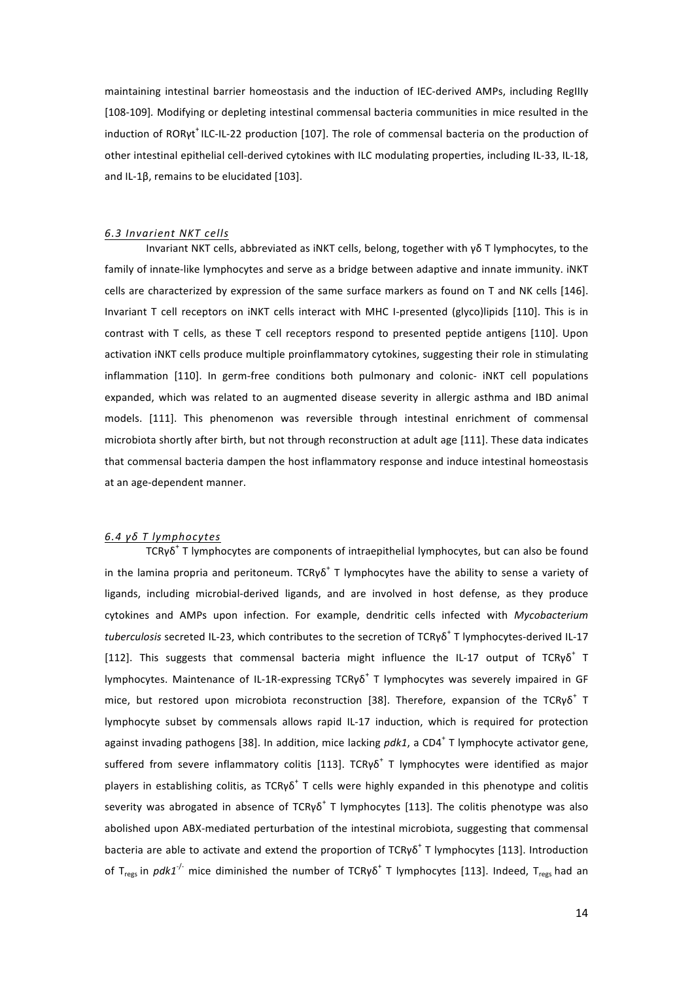maintaining intestinal barrier homeostasis and the induction of IEC-derived AMPs, including RegIIIγ [108-109]. Modifying or depleting intestinal commensal bacteria communities in mice resulted in the induction of RORγt<sup>+</sup> ILC-IL-22 production [107]. The role of commensal bacteria on the production of other intestinal epithelial cell-derived cytokines with ILC modulating properties, including IL-33, IL-18, and IL-1B, remains to be elucidated [103].

#### *6.3!Invarient!NKT!cells*

Invariant NKT cells, abbreviated as iNKT cells, belong, together with γδ T lymphocytes, to the family of innate-like lymphocytes and serve as a bridge between adaptive and innate immunity. INKT cells are characterized by expression of the same surface markers as found on T and NK cells [146]. Invariant T cell receptors on iNKT cells interact with MHC I-presented (glyco)lipids [110]. This is in contrast with T cells, as these T cell receptors respond to presented peptide antigens [110]. Upon activation iNKT cells produce multiple proinflammatory cytokines, suggesting their role in stimulating inflammation [110]. In germ-free conditions both pulmonary and colonic- iNKT cell populations expanded, which was related to an augmented disease severity in allergic asthma and IBD animal models. [111]. This phenomenon was reversible through intestinal enrichment of commensal microbiota shortly after birth, but not through reconstruction at adult age [111]. These data indicates that commensal bacteria dampen the host inflammatory response and induce intestinal homeostasis at an age-dependent manner.

#### *6.4!γδ!T!lymphocytes*

TCRγδ<sup>+</sup> T lymphocytes are components of intraepithelial lymphocytes, but can also be found in the lamina propria and peritoneum. TCRγδ<sup>+</sup> T lymphocytes have the ability to sense a variety of ligands, including microbial-derived ligands, and are involved in host defense, as they produce cytokines and AMPs upon infection. For example, dendritic cells infected with *Mycobacterium tuberculosis* secreted IL-23, which contributes to the secretion of TCRγδ<sup>+</sup> T lymphocytes-derived IL-17 [112]. This suggests that commensal bacteria might influence the IL-17 output of TCRγδ<sup>+</sup> T lymphocytes. Maintenance of IL-1R-expressing  $TCR\gamma\delta^+$  T lymphocytes was severely impaired in GF mice, but restored upon microbiota reconstruction [38]. Therefore, expansion of the TCRγ $\delta^+$  T lymphocyte subset by commensals allows rapid IL-17 induction, which is required for protection against invading pathogens [38]. In addition, mice lacking *pdk1*, a CD4<sup>+</sup> T lymphocyte activator gene, suffered from severe inflammatory colitis [113]. TCRγδ<sup>+</sup> T lymphocytes were identified as major players in establishing colitis, as TCRγδ<sup>+</sup> T cells were highly expanded in this phenotype and colitis severity was abrogated in absence of TCRγδ<sup>+</sup> T lymphocytes [113]. The colitis phenotype was also abolished upon ABX-mediated perturbation of the intestinal microbiota, suggesting that commensal bacteria are able to activate and extend the proportion of TCRγδ<sup>+</sup> T lymphocytes [113]. Introduction of T<sub>regs</sub> in *pdk1<sup>-/-</sup>* mice diminished the number of TCRγδ<sup>+</sup> T lymphocytes [113]. Indeed, T<sub>regs</sub> had an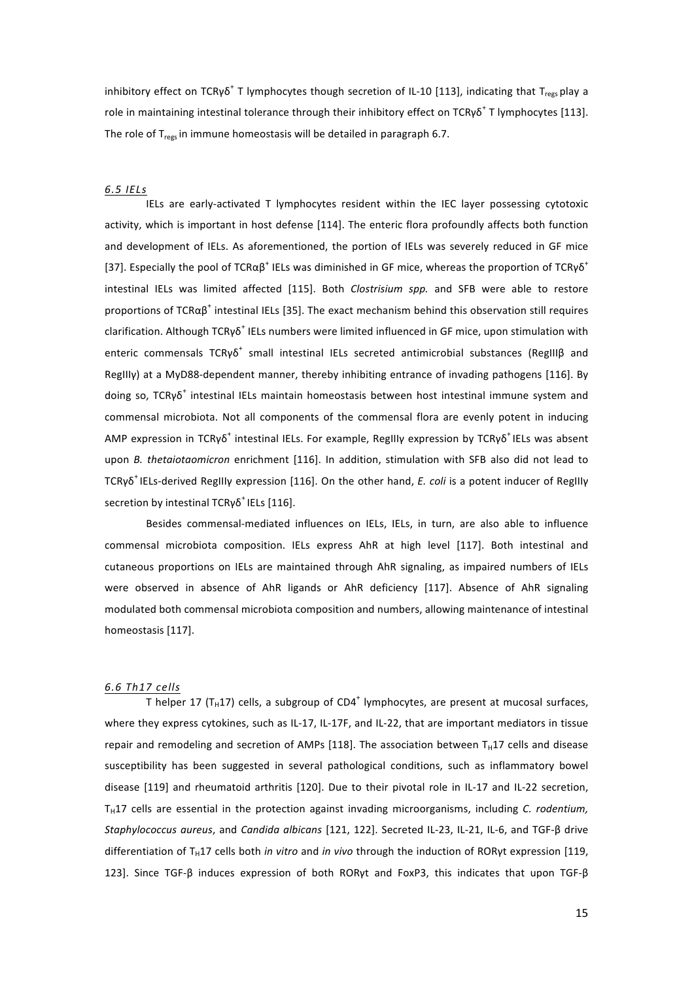inhibitory effect on TCRγδ<sup>+</sup> T lymphocytes though secretion of IL-10 [113], indicating that T<sub>rees</sub> play a role in maintaining intestinal tolerance through their inhibitory effect on TCRγδ<sup>+</sup> T lymphocytes [113]. The role of  $T_{res}$  in immune homeostasis will be detailed in paragraph 6.7.

#### *6.5!IELs*

IELs are early-activated T lymphocytes resident within the IEC layer possessing cytotoxic activity, which is important in host defense [114]. The enteric flora profoundly affects both function and development of IELs. As aforementioned, the portion of IELs was severely reduced in GF mice [37]. Especially the pool of TCRα $\beta^+$  IELs was diminished in GF mice, whereas the proportion of TCRγ $\delta^+$ intestinal IELs was limited affected [115]. Both *Clostrisium spp.* and SFB were able to restore proportions of TCR $\alpha\beta^+$  intestinal IELs [35]. The exact mechanism behind this observation still requires clarification. Although TCRγδ<sup>+</sup> IELs numbers were limited influenced in GF mice, upon stimulation with enteric commensals TCRγδ<sup>+</sup> small intestinal IELs secreted antimicrobial substances (RegIIIβ and RegIIIy) at a MyD88-dependent manner, thereby inhibiting entrance of invading pathogens [116]. By doing so,  $TCRy\delta^+$  intestinal IELs maintain homeostasis between host intestinal immune system and commensal microbiota. Not all components of the commensal flora are evenly potent in inducing AMP expression in TCRγδ<sup>+</sup> intestinal IELs. For example, RegIIIγ expression by TCRγδ<sup>+</sup> IELs was absent upon *B.* thetaiotaomicron enrichment [116]. In addition, stimulation with SFB also did not lead to TCRγδ<sup>+</sup> IELs-derived RegIIIy expression [116]. On the other hand, *E. coli* is a potent inducer of RegIIIy secretion by intestinal TCRγδ<sup>+</sup> IELs [116].

Besides commensal-mediated influences on IELs, IELs, in turn, are also able to influence commensal microbiota composition. IELs express AhR at high level [117]. Both intestinal and cutaneous proportions on IELs are maintained through AhR signaling, as impaired numbers of IELs were observed in absence of AhR ligands or AhR deficiency [117]. Absence of AhR signaling modulated both commensal microbiota composition and numbers, allowing maintenance of intestinal homeostasis [117].

#### *6.6!Th17!cells*

T helper 17 (T<sub>H</sub>17) cells, a subgroup of CD4<sup>+</sup> lymphocytes, are present at mucosal surfaces, where they express cytokines, such as IL-17, IL-17F, and IL-22, that are important mediators in tissue repair and remodeling and secretion of AMPs [118]. The association between  $T_H$ 17 cells and disease susceptibility has been suggested in several pathological conditions, such as inflammatory bowel disease [119] and rheumatoid arthritis [120]. Due to their pivotal role in IL-17 and IL-22 secretion, T<sub>H</sub>17 cells are essential in the protection against invading microorganisms, including *C. rodentium*, Staphylococcus aureus, and *Candida albicans* [121, 122]. Secreted IL-23, IL-21, IL-6, and TGF-β drive differentiation of T<sub>H</sub>17 cells both *in vitro* and *in vivo* through the induction of RORγt expression [119, 123]. Since TGF-β induces expression of both RORγt and FoxP3, this indicates that upon TGF-β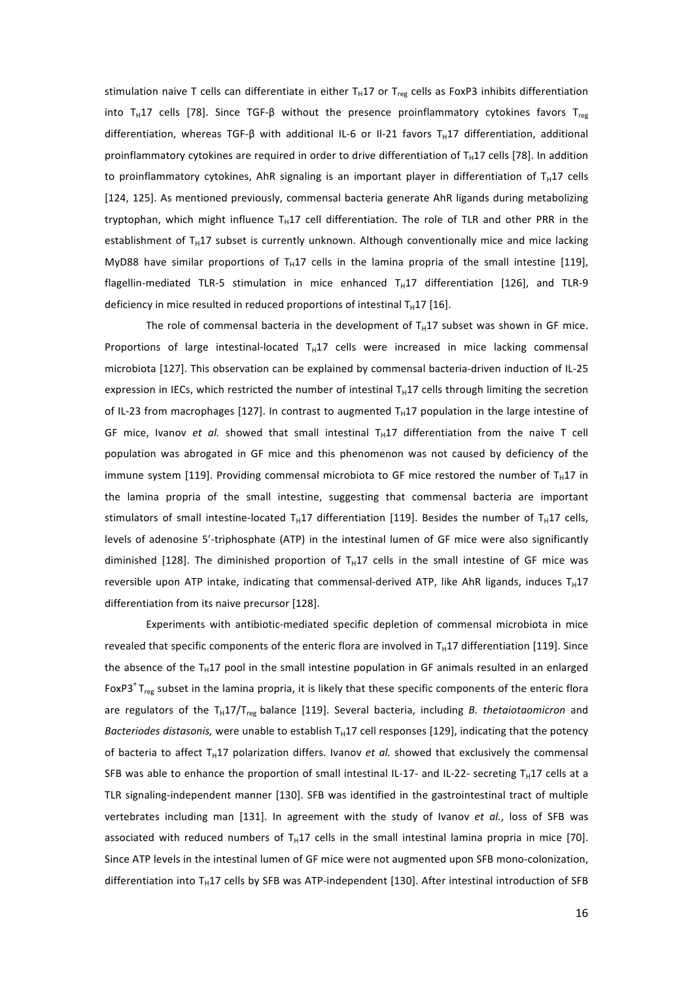stimulation naive T cells can differentiate in either T<sub>H</sub>17 or T<sub>reg</sub> cells as FoxP3 inhibits differentiation into T<sub>H</sub>17 cells [78]. Since TGF-β without the presence proinflammatory cytokines favors T<sub>reg</sub> differentiation, whereas TGF-β with additional IL-6 or Il-21 favors T<sub>H</sub>17 differentiation, additional proinflammatory cytokines are required in order to drive differentiation of  $T_H17$  cells [78]. In addition to proinflammatory cytokines, AhR signaling is an important player in differentiation of T<sub>H</sub>17 cells [124, 125]. As mentioned previously, commensal bacteria generate AhR ligands during metabolizing tryptophan, which might influence  $T_H17$  cell differentiation. The role of TLR and other PRR in the establishment of T<sub>H</sub>17 subset is currently unknown. Although conventionally mice and mice lacking MyD88 have similar proportions of T<sub>H</sub>17 cells in the lamina propria of the small intestine [119], flagellin-mediated TLR-5 stimulation in mice enhanced  $T_H17$  differentiation [126], and TLR-9 deficiency in mice resulted in reduced proportions of intestinal  $T_H17$  [16].

The role of commensal bacteria in the development of T<sub>H</sub>17 subset was shown in GF mice. Proportions of large intestinal-located  $T_H17$  cells were increased in mice lacking commensal microbiota [127]. This observation can be explained by commensal bacteria-driven induction of IL-25 expression in IECs, which restricted the number of intestinal T<sub>H</sub>17 cells through limiting the secretion of IL-23 from macrophages [127]. In contrast to augmented  $T_H17$  population in the large intestine of GF mice, Ivanov *et al.* showed that small intestinal  $T_H17$  differentiation from the naive T cell population was abrogated in GF mice and this phenomenon was not caused by deficiency of the immune system [119]. Providing commensal microbiota to GF mice restored the number of T<sub>H</sub>17 in the lamina propria of the small intestine, suggesting that commensal bacteria are important stimulators of small intestine-located T<sub>H</sub>17 differentiation [119]. Besides the number of T<sub>H</sub>17 cells, levels of adenosine 5'-triphosphate (ATP) in the intestinal lumen of GF mice were also significantly diminished [128]. The diminished proportion of T<sub>H</sub>17 cells in the small intestine of GF mice was reversible upon ATP intake, indicating that commensal-derived ATP, like AhR ligands, induces T<sub>H</sub>17 differentiation from its naive precursor [128].

Experiments with antibiotic-mediated specific depletion of commensal microbiota in mice revealed that specific components of the enteric flora are involved in T<sub>H</sub>17 differentiation [119]. Since the absence of the T<sub>H</sub>17 pool in the small intestine population in GF animals resulted in an enlarged FoxP3<sup>+</sup> $T_{reg}$  subset in the lamina propria, it is likely that these specific components of the enteric flora are regulators of the T<sub>H</sub>17/T<sub>reg</sub> balance [119]. Several bacteria, including *B. thetaiotaomicron* and *Bacteriodes distasonis,* were unable to establish  $T_H17$  cell responses [129], indicating that the potency of bacteria to affect  $T_H17$  polarization differs. Ivanov *et al.* showed that exclusively the commensal SFB was able to enhance the proportion of small intestinal IL-17- and IL-22- secreting T<sub>H</sub>17 cells at a TLR signaling-independent manner [130]. SFB was identified in the gastrointestinal tract of multiple vertebrates including man [131]. In agreement with the study of Ivanov et al., loss of SFB was associated with reduced numbers of T<sub>H</sub>17 cells in the small intestinal lamina propria in mice [70]. Since ATP levels in the intestinal lumen of GF mice were not augmented upon SFB mono-colonization, differentiation into T<sub>H</sub>17 cells by SFB was ATP-independent [130]. After intestinal introduction of SFB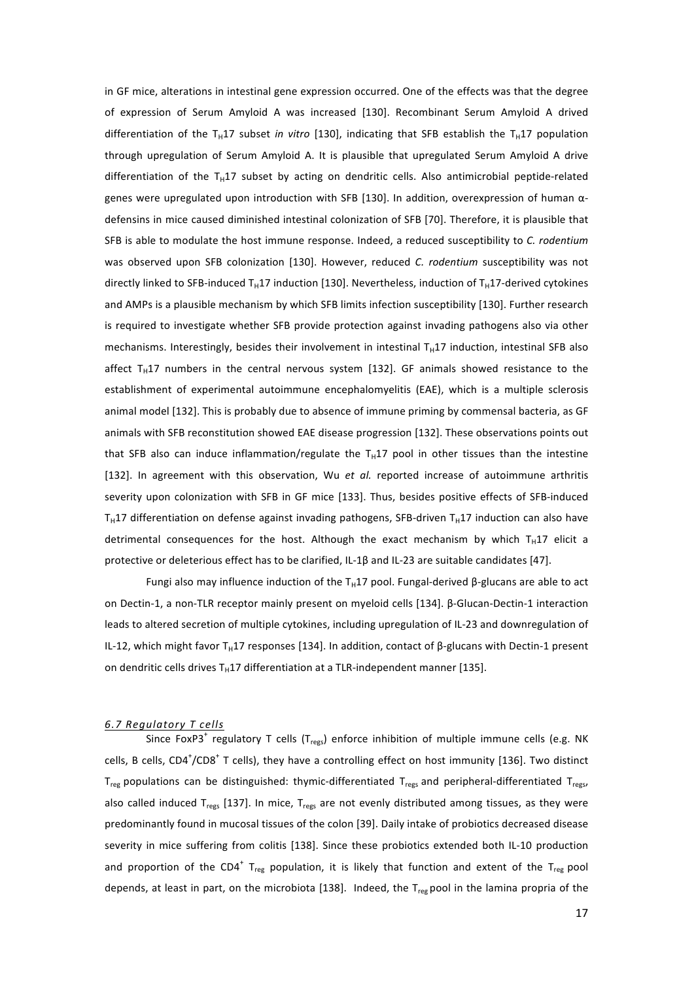in GF mice, alterations in intestinal gene expression occurred. One of the effects was that the degree of expression of Serum Amyloid A was increased [130]. Recombinant Serum Amyloid A drived differentiation of the T<sub>H</sub>17 subset *in vitro* [130], indicating that SFB establish the T<sub>H</sub>17 population through upregulation of Serum Amyloid A. It is plausible that upregulated Serum Amyloid A drive differentiation of the T<sub>H</sub>17 subset by acting on dendritic cells. Also antimicrobial peptide-related genes were upregulated upon introduction with SFB [130]. In addition, overexpression of human αdefensins in mice caused diminished intestinal colonization of SFB [70]. Therefore, it is plausible that SFB is able to modulate the host immune response. Indeed, a reduced susceptibility to *C. rodentium* was observed upon SFB colonization [130]. However, reduced *C. rodentium* susceptibility was not directly linked to SFB-induced T<sub>H</sub>17 induction [130]. Nevertheless, induction of T<sub>H</sub>17-derived cytokines and AMPs is a plausible mechanism by which SFB limits infection susceptibility [130]. Further research is required to investigate whether SFB provide protection against invading pathogens also via other mechanisms. Interestingly, besides their involvement in intestinal  $T_H17$  induction, intestinal SFB also affect  $T_H17$  numbers in the central nervous system [132]. GF animals showed resistance to the establishment of experimental autoimmune encephalomyelitis (EAE), which is a multiple sclerosis animal model [132]. This is probably due to absence of immune priming by commensal bacteria, as GF animals with SFB reconstitution showed EAE disease progression [132]. These observations points out that SFB also can induce inflammation/regulate the  $T_H17$  pool in other tissues than the intestine [132]. In agreement with this observation, Wu et al. reported increase of autoimmune arthritis severity upon colonization with SFB in GF mice [133]. Thus, besides positive effects of SFB-induced T<sub>H</sub>17 differentiation on defense against invading pathogens, SFB-driven T<sub>H</sub>17 induction can also have detrimental consequences for the host. Although the exact mechanism by which T<sub>H</sub>17 elicit a protective or deleterious effect has to be clarified, IL-1β and IL-23 are suitable candidates [47].

Fungi also may influence induction of the T<sub>H</sub>17 pool. Fungal-derived β-glucans are able to act on Dectin-1, a non-TLR receptor mainly present on myeloid cells [134]. β-Glucan-Dectin-1 interaction leads to altered secretion of multiple cytokines, including upregulation of IL-23 and downregulation of IL-12, which might favor T<sub>H</sub>17 responses [134]. In addition, contact of β-glucans with Dectin-1 present on dendritic cells drives T<sub>H</sub>17 differentiation at a TLR-independent manner [135].

## *6.7!Regulatory!T!cells*

Since FoxP3<sup>+</sup> regulatory T cells (T<sub>regs</sub>) enforce inhibition of multiple immune cells (e.g. NK cells, B cells, CD4<sup>+</sup>/CD8<sup>+</sup> T cells), they have a controlling effect on host immunity [136]. Two distinct Treg populations can be distinguished: thymic-differentiated Tregs and peripheral-differentiated Tregs, also called induced T<sub>regs</sub> [137]. In mice, T<sub>regs</sub> are not evenly distributed among tissues, as they were predominantly found in mucosal tissues of the colon [39]. Daily intake of probiotics decreased disease severity in mice suffering from colitis [138]. Since these probiotics extended both IL-10 production and proportion of the CD4<sup>+</sup> T<sub>reg</sub> population, it is likely that function and extent of the T<sub>reg</sub> pool depends, at least in part, on the microbiota [138]. Indeed, the  $T_{reg}$  pool in the lamina propria of the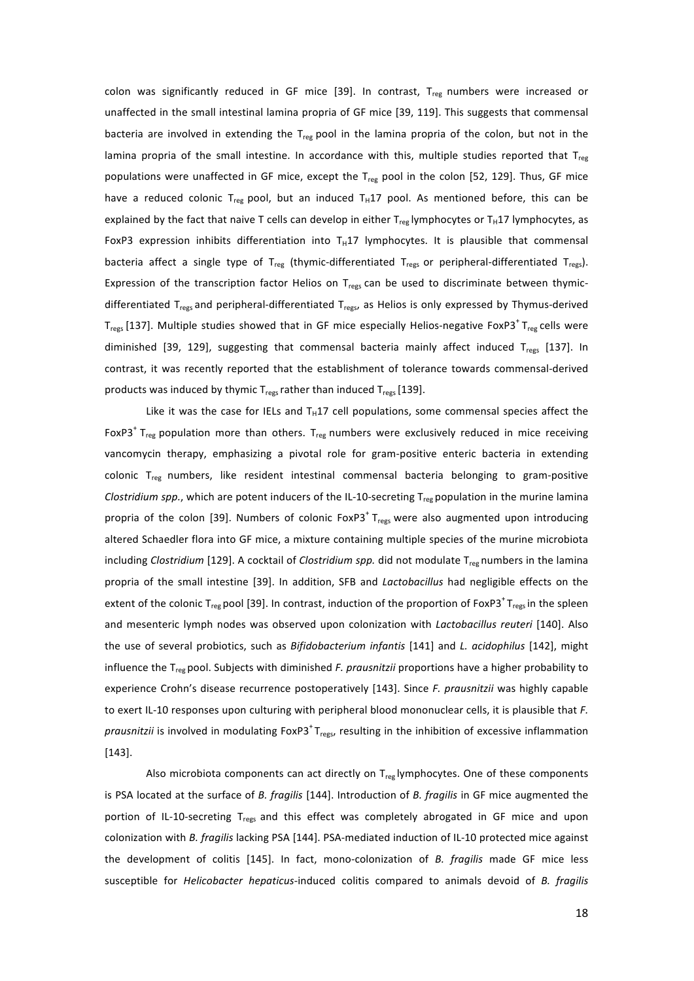colon was significantly reduced in GF mice [39]. In contrast,  $T_{reg}$  numbers were increased or unaffected in the small intestinal lamina propria of GF mice [39, 119]. This suggests that commensal bacteria are involved in extending the T<sub>reg</sub> pool in the lamina propria of the colon, but not in the lamina propria of the small intestine. In accordance with this, multiple studies reported that  $T_{reg}$ populations were unaffected in GF mice, except the  $T_{reg}$  pool in the colon [52, 129]. Thus, GF mice have a reduced colonic T<sub>reg</sub> pool, but an induced T<sub>H</sub>17 pool. As mentioned before, this can be explained by the fact that naive T cells can develop in either  $T_{reg}$  lymphocytes or T<sub>H</sub>17 lymphocytes, as FoxP3 expression inhibits differentiation into T<sub>H</sub>17 lymphocytes. It is plausible that commensal bacteria affect a single type of T<sub>reg</sub> (thymic-differentiated T<sub>regs</sub> or peripheral-differentiated T<sub>regs</sub>). Expression of the transcription factor Helios on  $T_{\text{reg}}$  can be used to discriminate between thymicdifferentiated T<sub>regs</sub> and peripheral-differentiated T<sub>regs</sub>, as Helios is only expressed by Thymus-derived T<sub>regs</sub> [137]. Multiple studies showed that in GF mice especially Helios-negative FoxP3<sup>+</sup> T<sub>reg</sub> cells were diminished [39, 129], suggesting that commensal bacteria mainly affect induced  $T_{ress}$  [137]. In contrast, it was recently reported that the establishment of tolerance towards commensal-derived products was induced by thymic T<sub>regs</sub> rather than induced T<sub>regs</sub> [139].

Like it was the case for IELs and  $T_H17$  cell populations, some commensal species affect the FoxP3<sup>+</sup> T<sub>reg</sub> population more than others. T<sub>reg</sub> numbers were exclusively reduced in mice receiving vancomycin therapy, emphasizing a pivotal role for gram-positive enteric bacteria in extending colonic T<sub>reg</sub> numbers, like resident intestinal commensal bacteria belonging to gram-positive *Clostridium spp.*, which are potent inducers of the IL-10-secreting T<sub>reg</sub> population in the murine lamina propria of the colon [39]. Numbers of colonic FoxP3<sup>+</sup> T<sub>regs</sub> were also augmented upon introducing altered Schaedler flora into GF mice, a mixture containing multiple species of the murine microbiota including *Clostridium* [129]. A cocktail of *Clostridium spp.* did not modulate T<sub>reg</sub> numbers in the lamina propria of the small intestine [39]. In addition, SFB and *Lactobacillus* had negligible effects on the extent of the colonic T<sub>reg</sub> pool [39]. In contrast, induction of the proportion of FoxP3<sup>+</sup>T<sub>regs</sub> in the spleen and mesenteric lymph nodes was observed upon colonization with *Lactobacillus reuteri* [140]. Also the use of several probiotics, such as *Bifidobacterium infantis* [141] and *L. acidophilus* [142], might influence the T<sub>reg</sub> pool. Subjects with diminished *F. prausnitzii* proportions have a higher probability to experience Crohn's disease recurrence postoperatively [143]. Since *F. prausnitzii* was highly capable to exert IL-10 responses upon culturing with peripheral blood mononuclear cells, it is plausible that *F. prausnitzii* is involved in modulating FoxP3<sup>+</sup> T<sub>regs</sub>, resulting in the inhibition of excessive inflammation  $[143]$ .

Also microbiota components can act directly on  $T_{ref}$  lymphocytes. One of these components is PSA located at the surface of *B. fragilis* [144]. Introduction of *B. fragilis* in GF mice augmented the portion of IL-10-secreting  $T_{res}$  and this effect was completely abrogated in GF mice and upon colonization with B. fragilis lacking PSA [144]. PSA-mediated induction of IL-10 protected mice against the development of colitis [145]. In fact, mono-colonization of *B. fragilis* made GF mice less susceptible for *Helicobacter hepaticus*-induced colitis compared to animals devoid of *B. fragilis*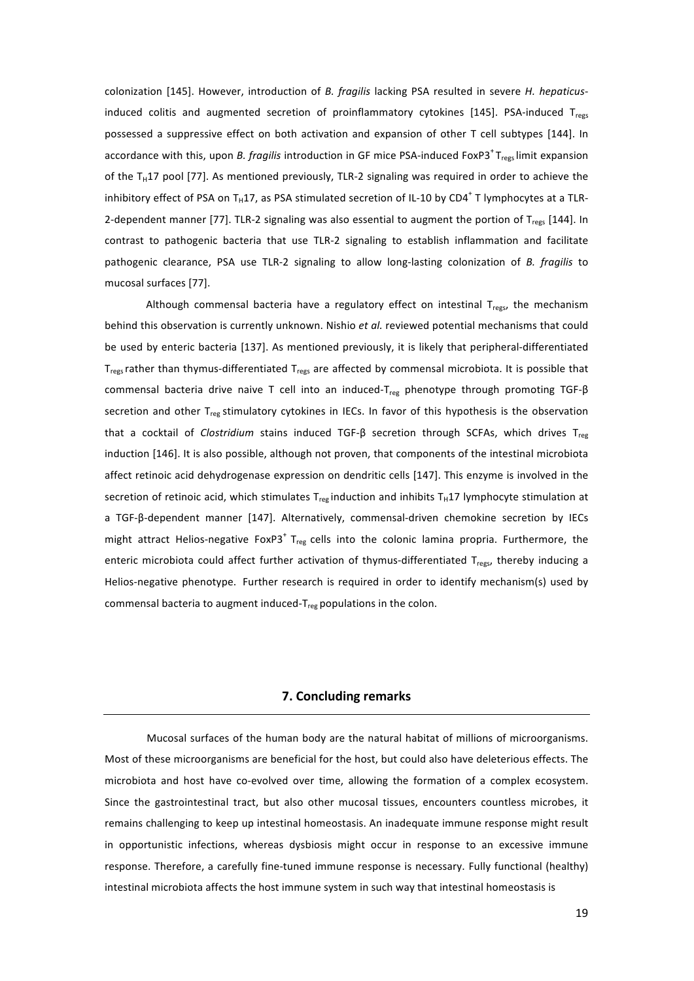colonization [145]. However, introduction of *B. fragilis* lacking PSA resulted in severe *H. hepaticus*induced colitis and augmented secretion of proinflammatory cytokines [145]. PSA-induced Tregs possessed a suppressive effect on both activation and expansion of other T cell subtypes [144]. In accordance with this, upon *B. fragilis* introduction in GF mice PSA-induced FoxP3<sup>+</sup>T<sub>regs</sub> limit expansion of the T<sub>H</sub>17 pool [77]. As mentioned previously, TLR-2 signaling was required in order to achieve the inhibitory effect of PSA on T<sub>H</sub>17, as PSA stimulated secretion of IL-10 by CD4<sup>+</sup> T lymphocytes at a TLR-2-dependent manner [77]. TLR-2 signaling was also essential to augment the portion of Tregs [144]. In contrast to pathogenic bacteria that use TLR-2 signaling to establish inflammation and facilitate pathogenic clearance, PSA use TLR-2 signaling to allow long-lasting colonization of *B. fragilis* to mucosal surfaces [77].

Although commensal bacteria have a regulatory effect on intestinal  $T_{res}$ , the mechanism behind this observation is currently unknown. Nishio et al. reviewed potential mechanisms that could be used by enteric bacteria [137]. As mentioned previously, it is likely that peripheral-differentiated T<sub>regs</sub> rather than thymus-differentiated T<sub>regs</sub> are affected by commensal microbiota. It is possible that commensal bacteria drive naive T cell into an induced-T<sub>reg</sub> phenotype through promoting TGF-β secretion and other  $T_{reg}$  stimulatory cytokines in IECs. In favor of this hypothesis is the observation that a cocktail of *Clostridium* stains induced TGF-β secretion through SCFAs, which drives T<sub>reg</sub> induction [146]. It is also possible, although not proven, that components of the intestinal microbiota affect retinoic acid dehydrogenase expression on dendritic cells [147]. This enzyme is involved in the secretion of retinoic acid, which stimulates T<sub>reg</sub> induction and inhibits T<sub>H</sub>17 lymphocyte stimulation at a TGF-β-dependent manner [147]. Alternatively, commensal-driven chemokine secretion by IECs might attract Helios-negative FoxP3<sup>+</sup> T<sub>reg</sub> cells into the colonic lamina propria. Furthermore, the enteric microbiota could affect further activation of thymus-differentiated T<sub>regs</sub>, thereby inducing a Helios-negative phenotype. Further research is required in order to identify mechanism(s) used by commensal bacteria to augment induced- $T_{reg}$  populations in the colon.

# **7. Concluding remarks**

Mucosal surfaces of the human body are the natural habitat of millions of microorganisms. Most of these microorganisms are beneficial for the host, but could also have deleterious effects. The microbiota and host have co-evolved over time, allowing the formation of a complex ecosystem. Since the gastrointestinal tract, but also other mucosal tissues, encounters countless microbes, it remains challenging to keep up intestinal homeostasis. An inadequate immune response might result in opportunistic infections, whereas dysbiosis might occur in response to an excessive immune response. Therefore, a carefully fine-tuned immune response is necessary. Fully functional (healthy) intestinal microbiota affects the host immune system in such way that intestinal homeostasis is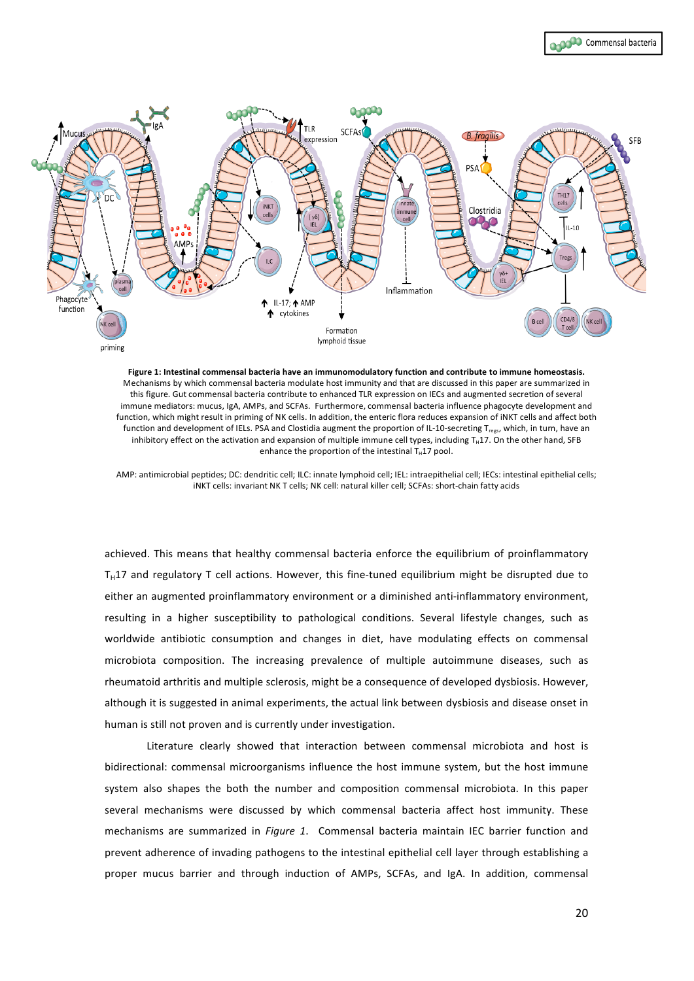

Figure 1: Intestinal commensal bacteria have an immunomodulatory function and contribute to immune homeostasis. Mechanisms by which commensal bacteria modulate host immunity and that are discussed in this paper are summarized in this figure. Gut commensal bacteria contribute to enhanced TLR expression on IECs and augmented secretion of several immune mediators: mucus, IgA, AMPs, and SCFAs. Furthermore, commensal bacteria influence phagocyte development and function, which might result in priming of NK cells. In addition, the enteric flora reduces expansion of iNKT cells and affect both function and development of IELs. PSA and Clostidia augment the proportion of IL-10-secreting T<sub>regs</sub>, which, in turn, have an inhibitory effect on the activation and expansion of multiple immune cell types, including T<sub>H</sub>17. On the other hand, SFB enhance the proportion of the intestinal  $T_H$ 17 pool.

AMP: antimicrobial peptides; DC: dendritic cell; ILC: innate lymphoid cell; IEL: intraepithelial cell; IECs: intestinal epithelial cells; iNKT cells: invariant NK T cells; NK cell: natural killer cell; SCFAs: short-chain fatty acids

achieved. This means that healthy commensal bacteria enforce the equilibrium of proinflammatory  $T_H$ 17 and regulatory T cell actions. However, this fine-tuned equilibrium might be disrupted due to either an augmented proinflammatory environment or a diminished anti-inflammatory environment, resulting in a higher susceptibility to pathological conditions. Several lifestyle changes, such as worldwide antibiotic consumption and changes in diet, have modulating effects on commensal microbiota composition. The increasing prevalence of multiple autoimmune diseases, such as rheumatoid arthritis and multiple sclerosis, might be a consequence of developed dysbiosis. However, although it is suggested in animal experiments, the actual link between dysbiosis and disease onset in human is still not proven and is currently under investigation.

Literature clearly showed that interaction between commensal microbiota and host is bidirectional: commensal microorganisms influence the host immune system, but the host immune system also shapes the both the number and composition commensal microbiota. In this paper several mechanisms were discussed by which commensal bacteria affect host immunity. These mechanisms are summarized in *Figure 1*. Commensal bacteria maintain IEC barrier function and prevent adherence of invading pathogens to the intestinal epithelial cell layer through establishing a proper mucus barrier and through induction of AMPs, SCFAs, and IgA. In addition, commensal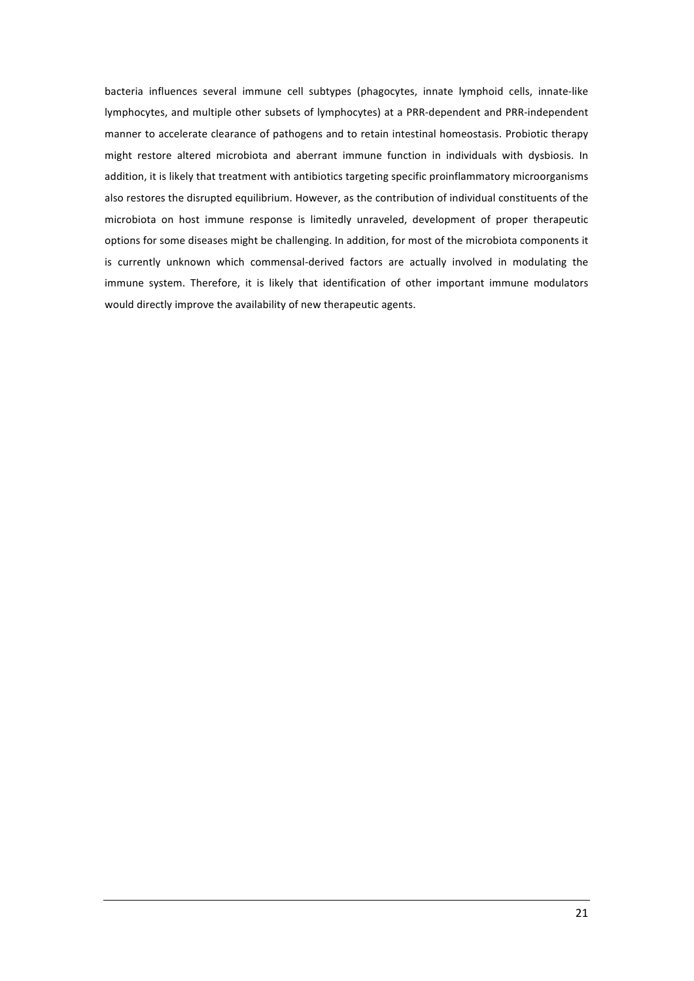bacteria influences several immune cell subtypes (phagocytes, innate lymphoid cells, innate-like lymphocytes, and multiple other subsets of lymphocytes) at a PRR-dependent and PRR-independent manner to accelerate clearance of pathogens and to retain intestinal homeostasis. Probiotic therapy might restore altered microbiota and aberrant immune function in individuals with dysbiosis. In addition, it is likely that treatment with antibiotics targeting specific proinflammatory microorganisms also restores the disrupted equilibrium. However, as the contribution of individual constituents of the microbiota on host immune response is limitedly unraveled, development of proper therapeutic options for some diseases might be challenging. In addition, for most of the microbiota components it is currently unknown which commensal-derived factors are actually involved in modulating the immune system. Therefore, it is likely that identification of other important immune modulators would directly improve the availability of new therapeutic agents.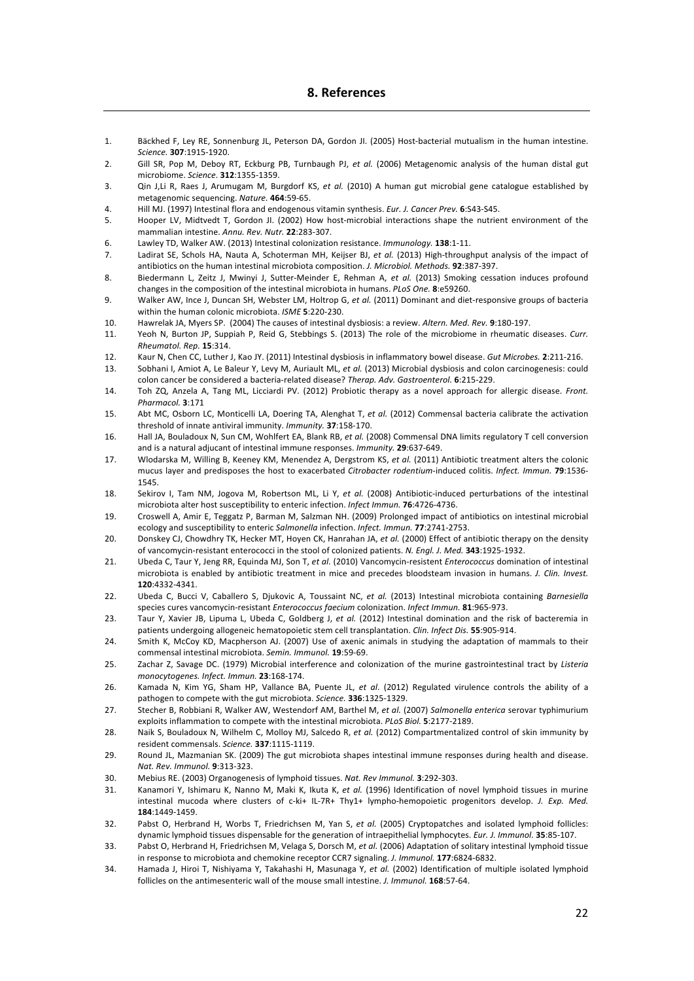# **8.\$References**

- 1. Bäckhed F, Ley RE, Sonnenburg JL, Peterson DA, Gordon JI. (2005) Host-bacterial mutualism in the human intestine. *Science.!***307**:1915?1920.&
- 2. Gill SR, Pop M, Deboy RT, Eckburg PB, Turnbaugh PJ, et al. (2006) Metagenomic analysis of the human distal gut microbiome.&*Science*.&**312**:1355?1359.
- 3. Qin J,Li R, Raes J, Arumugam M, Burgdorf KS, *et al.* (2010) A human gut microbial gene catalogue established by metagenomic sequencing. Nature. 464:59-65.
- 4. Hill MJ. (1997) Intestinal flora and endogenous vitamin synthesis. *Eur. J. Cancer Prev.* 6:S43-S45.
- 5. Hooper LV, Midtvedt T, Gordon JI. (2002) How host-microbial interactions shape the nutrient environment of the mammalian intestine. Annu. Rev. Nutr. 22:283-307.
- 6. Lawley TD, Walker AW. (2013) Intestinal colonization resistance. *Immunology*. **138**:1-11.
- 7. Ladirat SE, Schols HA, Nauta A, Schoterman MH, Keijser BJ, et al. (2013) High-throughput analysis of the impact of antibiotics on the human intestinal microbiota composition. *J. Microbiol. Methods.* **92**:387-397.
- 8. Biedermann L, Zeitz J, Mwinyi J, Sutter-Meinder E, Rehman A, et al. (2013) Smoking cessation induces profound changes in the composition of the intestinal microbiota in humans. *PLoS One.* **8**:e59260.
- 9. Walker AW, Ince J, Duncan SH, Webster LM, Holtrop G, et al. (2011) Dominant and diet-responsive groups of bacteria within the human colonic microbiota. *ISME* **5**:220-230.
- 10. Hawrelak JA, Myers SP. (2004) The causes of intestinal dysbiosis: a review. Altern. Med. Rev. 9:180-197.
- 11. Yeoh N, Burton JP, Suppiah P, Reid G, Stebbings S. (2013) The role of the microbiome in rheumatic diseases. Curr. *Rheumatol.!Rep.!***15**:314.
- 12. Kaur N, Chen CC, Luther J, Kao JY. (2011) Intestinal dysbiosis in inflammatory bowel disease. *Gut Microbes.* **2**:211-216.
- 13. Sobhani I, Amiot A, Le Baleur Y, Levy M, Auriault ML, *et al.* (2013) Microbial dysbiosis and colon carcinogenesis: could colon cancer be considered a bacteria-related disease? Therap. Adv. Gastroenterol. **6**:215-229.
- 14. Toh ZQ, Anzela A, Tang ML, Licciardi PV. (2012) Probiotic therapy as a novel approach for allergic disease. Front. *Pharmacol.!***3**:171
- 15. Abt MC, Osborn LC, Monticelli LA, Doering TA, Alenghat T, et al. (2012) Commensal bacteria calibrate the activation threshold of innate antiviral immunity. *Immunity*. **37**:158-170.
- 16. Hall JA, Bouladoux N, Sun CM, Wohlfert EA, Blank RB, et al. (2008) Commensal DNA limits regulatory T cell conversion and is a natural adjucant of intestinal immune responses. *Immunity*. **29**:637-649.
- 17. Wlodarska M, Willing B, Keeney KM, Menendez A, Dergstrom KS, et al. (2011) Antibiotic treatment alters the colonic mucus layer and predisposes the host to exacerbated Citrobacter rodentium-induced colitis. Infect. Immun. 79:1536-1545.
- 18. Sekirov I, Tam NM, Jogova M, Robertson ML, Li Y, et al. (2008) Antibiotic-induced perturbations of the intestinal microbiota alter host susceptibility to enteric infection. Infect Immun. 76:4726-4736.
- 19. Croswell A, Amir E, Teggatz P, Barman M, Salzman NH. (2009) Prolonged impact of antibiotics on intestinal microbial ecology and susceptibility to enteric Salmonella infection. Infect. Immun. 77:2741-2753.
- 20. Donskey CJ, Chowdhry TK, Hecker MT, Hoyen CK, Hanrahan JA, et al. (2000) Effect of antibiotic therapy on the density of vancomycin-resistant enterococci in the stool of colonized patients. N. Engl. J. Med. **343**:1925-1932.
- 21. Ubeda C, Taur Y, Jeng RR, Equinda MJ, Son T, et al. (2010) Vancomycin-resistent *Enterococcus* domination of intestinal microbiota is enabled by antibiotic treatment in mice and precedes bloodsteam invasion in humans. *J. Clin. Invest.* **120**:4332?4341.
- 22. Ubeda C, Bucci V, Caballero S, Djukovic A, Toussaint NC, et al. (2013) Intestinal microbiota containing *Barnesiella* species cures vancomycin-resistant *Enterococcus faecium* colonization. Infect Immun. 81:965-973.
- 23. Taur Y, Xavier JB, Lipuma L, Ubeda C, Goldberg J, et al. (2012) Intestinal domination and the risk of bacteremia in patients undergoing allogeneic hematopoietic stem cell transplantation. *Clin. Infect Dis.* **55**:905-914.
- 24. Smith K, McCoy KD, Macpherson AJ. (2007) Use of axenic animals in studying the adaptation of mammals to their commensal intestinal microbiota. Semin. Immunol. **19**:59-69.
- 25. Zachar Z, Savage DC. (1979) Microbial interference and colonization of the murine gastrointestinal tract by *Listeria monocytogenes. Infect. Immun.* 23:168-174.
- 26. Kamada N, Kim YG, Sham HP, Vallance BA, Puente JL, et al. (2012) Regulated virulence controls the ability of a pathogen to compete with the gut microbiota. Science. 336:1325-1329.
- 27. Stecher B, Robbiani R, Walker AW, Westendorf AM, Barthel M, et al. (2007) Salmonella enterica serovar typhimurium exploits inflammation to compete with the intestinal microbiota. *PLoS Biol.* **5**:2177-2189.
- 28. Naik S, Bouladoux N, Wilhelm C, Molloy MJ, Salcedo R, et al. (2012) Compartmentalized control of skin immunity by resident commensals. Science. **337**:1115-1119.
- 29. Round JL, Mazmanian SK. (2009) The gut microbiota shapes intestinal immune responses during health and disease. *Nat.!Rev.!Immunol.!***9**:313?323.
- 30. Mebius RE. (2003) Organogenesis of lymphoid tissues. Nat. Rev Immunol. **3**:292-303.
- 31. Kanamori Y, Ishimaru K, Nanno M, Maki K, Ikuta K, et al. (1996) Identification of novel lymphoid tissues in murine intestinal mucoda where clusters of c-ki+ IL-7R+ Thy1+ lympho-hemopoietic progenitors develop. *J. Exp. Med.* **184**:1449?1459.
- 32. Pabst O, Herbrand H, Worbs T, Friedrichsen M, Yan S, et al. (2005) Cryptopatches and isolated lymphoid follicles: dynamic lymphoid tissues dispensable for the generation of intraepithelial lymphocytes. *Eur. J. Immunol.* **35**:85-107.
- 33. Pabst O, Herbrand H, Friedrichsen M, Velaga S, Dorsch M, et al. (2006) Adaptation of solitary intestinal lymphoid tissue in response to microbiota and chemokine receptor CCR7 signaling. *J. Immunol.* 177:6824-6832.
- 34. Hamada J, Hiroi T, Nishiyama Y, Takahashi H, Masunaga Y, et al. (2002) Identification of multiple isolated lymphoid follicles on the antimesenteric wall of the mouse small intestine. *J. Immunol.* **168**:57-64.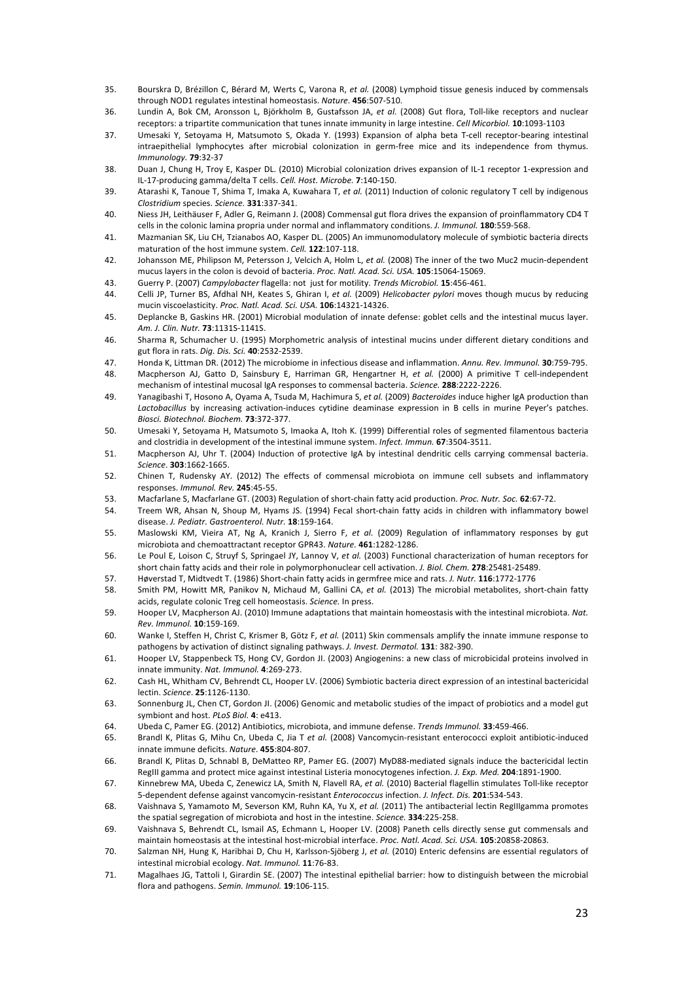- 35. Bourskra D, Brézillon C, Bérard M, Werts C, Varona R, et al. (2008) Lymphoid tissue genesis induced by commensals through NOD1 regulates intestinal homeostasis. Nature. 456:507-510.
- 36. Lundin A, Bok CM, Aronsson L, Björkholm B, Gustafsson JA, et al. (2008) Gut flora, Toll-like receptors and nuclear receptors: a tripartite communication that tunes innate immunity in large intestine. *Cell Micorbiol.* **10**:1093-1103
- 37. Umesaki Y, Setoyama H, Matsumoto S, Okada Y. (1993) Expansion of alpha beta T-cell receptor-bearing intestinal intraepithelial lymphocytes after microbial colonization in germ-free mice and its independence from thymus. *Immunology.!***79**:32?37
- 38. Duan J, Chung H, Troy E, Kasper DL. (2010) Microbial colonization drives expansion of IL-1 receptor 1-expression and IL?17?producing&gamma/delta&T&cells.&*Cell.!Host.!Microbe.!***7**:140?150.
- 39. Atarashi K, Tanoue T, Shima T, Imaka A, Kuwahara T, et al. (2011) Induction of colonic regulatory T cell by indigenous *Clostridium!*species.&*Science.!***331**:337?341.
- 40. Niess JH, Leithäuser F, Adler G, Reimann J. (2008) Commensal gut flora drives the expansion of proinflammatory CD4 T cells in the colonic lamina propria under normal and inflammatory conditions. *J. Immunol.* **180**:559-568.
- 41. Mazmanian SK, Liu CH, Tzianabos AO, Kasper DL. (2005) An immunomodulatory molecule of symbiotic bacteria directs maturation of the host immune system. Cell. 122:107-118.
- 42. Johansson ME, Philipson M, Petersson J, Velcich A, Holm L, et al. (2008) The inner of the two Muc2 mucin-dependent mucus layers in the colon is devoid of bacteria. Proc. Natl. Acad. Sci. USA. 105:15064-15069.
- 43. Guerry P. (2007) Campylobacter flagella: not just for motility. Trends Microbiol. **15**:456-461.
- 44. Celli JP, Turner BS, Afdhal NH, Keates S, Ghiran I, et al. (2009) Helicobacter pylori moves though mucus by reducing mucin viscoelasticity. *Proc. Natl. Acad. Sci. USA.* **106**:14321-14326.
- 45. Deplancke B, Gaskins HR. (2001) Microbial modulation of innate defense: goblet cells and the intestinal mucus layer. *Am.!J.!Clin.!Nutr.!***73**:1131S?1141S.
- 46. Sharma R, Schumacher U. (1995) Morphometric analysis of intestinal mucins under different dietary conditions and gut&flora&in&rats.&*Dig.!Dis.!Sci.!***40**:2532?2539.
- 47. Honda K, Littman DR. (2012) The microbiome in infectious disease and inflammation. Annu. Rev. Immunol. **30**:759-795.
- 48. Macpherson AJ, Gatto D, Sainsbury E, Harriman GR, Hengartner H, et al. (2000) A primitive T cell-independent mechanism of intestinal mucosal IgA responses to commensal bacteria. Science. 288:2222-2226.
- 49. Yanagibashi T, Hosono A, Oyama A, Tsuda M, Hachimura S, et al. (2009) Bacteroides induce higher IgA production than Lactobacillus by increasing activation-induces cytidine deaminase expression in B cells in murine Peyer's patches. *Biosci.!Biotechnol.!Biochem.!***73**:372?377.
- 50. Umesaki Y, Setoyama H, Matsumoto S, Imaoka A, Itoh K. (1999) Differential roles of segmented filamentous bacteria and clostridia in development of the intestinal immune system. *Infect. Immun.* **67**:3504-3511.
- 51. Macpherson AJ, Uhr T. (2004) Induction of protective IgA by intestinal dendritic cells carrying commensal bacteria. *Science*.&**303**:1662?1665.
- 52. Chinen T, Rudensky AY. (2012) The effects of commensal microbiota on immune cell subsets and inflammatory responses.&*Immunol.!Rev.!***245**:45?55.
- 53. Macfarlane S, Macfarlane GT. (2003) Regulation of short-chain fatty acid production. Proc. Nutr. Soc. 62:67-72.
- 54. Treem WR, Ahsan N, Shoup M, Hyams JS. (1994) Fecal short-chain fatty acids in children with inflammatory bowel disease. J. Pediatr. Gastroenterol. Nutr. 18:159-164.
- 55. Maslowski KM, Vieira AT, Ng A, Kranich J, Sierro F, et al. (2009) Regulation of inflammatory responses by gut microbiota and chemoattractant receptor GPR43. Nature. 461:1282-1286.
- 56. Le Poul E, Loison C, Struyf S, Springael JY, Lannoy V, et al. (2003) Functional characterization of human receptors for short chain fatty acids and their role in polymorphonuclear cell activation. *J. Biol. Chem.* **278**:25481-25489.
- 57. Høverstad T, Midtvedt T. (1986) Short-chain fatty acids in germfree mice and rats. *J. Nutr.* **116**:1772-1776
- 58. Smith PM, Howitt MR, Panikov N, Michaud M, Gallini CA, et al. (2013) The microbial metabolites, short-chain fatty acids, regulate colonic Treg cell homeostasis. Science. In press.
- 59. Hooper LV, Macpherson AJ. (2010) Immune adaptations that maintain homeostasis with the intestinal microbiota. Nat. *Rev.!Immunol.!***10**:159?169.
- 60. Wanke I, Steffen H, Christ C, Krismer B, Götz F, et al. (2011) Skin commensals amplify the innate immune response to pathogens by activation of distinct signaling pathways. *J. Invest. Dermatol.* **131**: 382-390.
- 61. Hooper LV, Stappenbeck TS, Hong CV, Gordon JI. (2003) Angiogenins: a new class of microbicidal proteins involved in innate immunity. Nat. Immunol. 4:269-273.
- 62. Cash HL, Whitham CV, Behrendt CL, Hooper LV. (2006) Symbiotic bacteria direct expression of an intestinal bactericidal lectin.&*Science*.&**25**:1126?1130.
- 63. Sonnenburg JL, Chen CT, Gordon JJ, (2006) Genomic and metabolic studies of the impact of probiotics and a model gut symbiont and host. PLoS Biol. 4: e413.
- 64. Ubeda C. Pamer EG. (2012) Antibiotics, microbiota, and immune defense. *Trends Immunol*. **33**:459-466.
- 65. Brandl K, Plitas G, Mihu Cn, Ubeda C, Jia T et al. (2008) Vancomycin-resistant enterococci exploit antibiotic-induced innate immune deficits. Nature. 455:804-807.
- 66. Brandl K, Plitas D, Schnabl B, DeMatteo RP, Pamer EG. (2007) MyD88-mediated signals induce the bactericidal lectin RegIII gamma and protect mice against intestinal Listeria monocytogenes infection. *J. Exp. Med.* **204**:1891-1900.
- 67. Kinnebrew MA, Ubeda C, Zenewicz LA, Smith N, Flavell RA, et al. (2010) Bacterial flagellin stimulates Toll-like receptor 5-dependent defense against vancomycin-resistant *Enterococcus* infection. *J. Infect. Dis.* **201**:534-543.
- 68. Vaishnava S, Yamamoto M, Severson KM, Ruhn KA, Yu X, et al. (2011) The antibacterial lectin RegIIIgamma promotes the spatial segregation of microbiota and host in the intestine. *Science*. **334**:225-258.
- 69. Vaishnava S, Behrendt CL, Ismail AS, Echmann L, Hooper LV. (2008) Paneth cells directly sense gut commensals and maintain homeostasis at the intestinal host-microbial interface. Proc. Natl. Acad. Sci. USA. 105:20858-20863.
- 70. Salzman NH, Hung K, Haribhai D, Chu H, Karlsson-Sjöberg J, et al. (2010) Enteric defensins are essential regulators of intestinal microbial ecology. Nat. Immunol. 11:76-83.
- 71. Magalhaes JG, Tattoli I, Girardin SE. (2007) The intestinal epithelial barrier: how to distinguish between the microbial flora and pathogens. Semin. Immunol. **19**:106-115.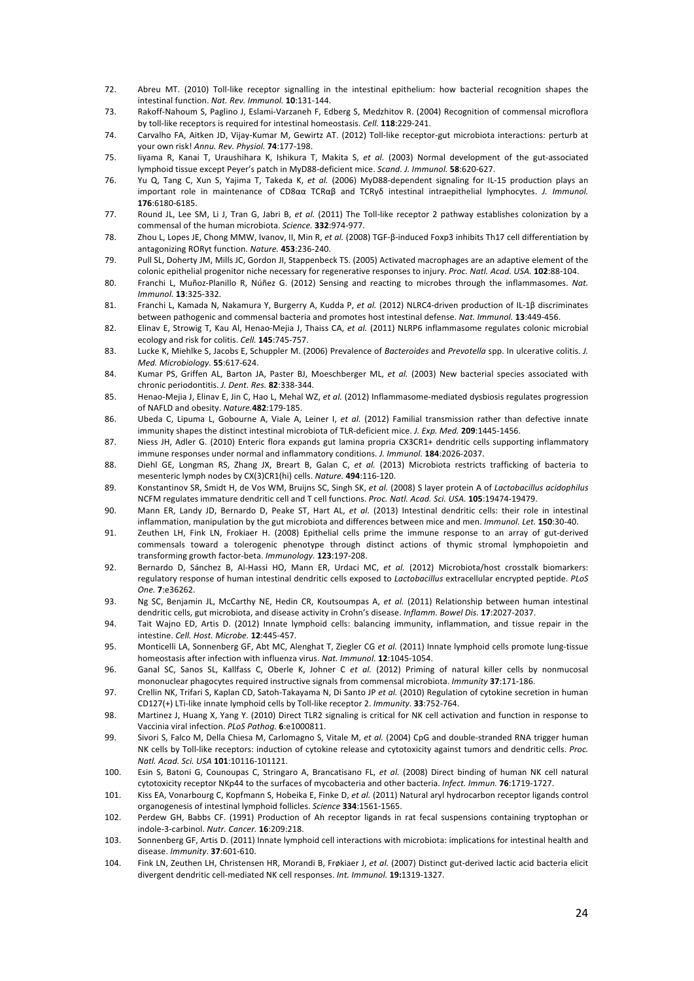- 72. Abreu MT. (2010) Toll-like receptor signalling in the intestinal epithelium: how bacterial recognition shapes the intestinal function. Nat. Rev. Immunol. **10**:131-144.
- 73. Rakoff-Nahoum S, Paglino J, Eslami-Varzaneh F, Edberg S, Medzhitov R. (2004) Recognition of commensal microflora by toll-like receptors is required for intestinal homeostasis. Cell. **118**:229-241.
- 74. Carvalho FA, Aitken JD, Vijay-Kumar M, Gewirtz AT. (2012) Toll-like receptor-gut microbiota interactions: perturb at your own risk! Annu. Rev. Physiol. 74:177-198.
- 75. Iiyama R, Kanai T, Uraushihara K, Ishikura T, Makita S, et al. (2003) Normal development of the gut-associated lymphoid tissue except Peyer's patch in MyD88-deficient mice. Scand. J. Immunol. **58**:620-627.
- 76. Yu Q, Tang C, Xun S, Yajima T, Takeda K, *et al.* (2006) MyD88-dependent signaling for IL-15 production plays an important role in maintenance of CD8αα TCRαβ and TCRγδ intestinal intraepithelial lymphocytes. *J. Immunol.* **176**:6180?6185.
- 77. Round JL, Lee SM, Li J, Tran G, Jabri B, et al. (2011) The Toll-like receptor 2 pathway establishes colonization by a commensal of the human microbiota. Science. **332**:974-977.
- 78. Zhou L, Lopes JE, Chong MMW, Ivanov, II, Min R, et al. (2008) TGF-β-induced Foxp3 inhibits Th17 cell differentiation by antagonizing RORγt function. *Nature*. **453**:236-240.
- 79. Pull SL, Doherty JM, Mills JC, Gordon JI, Stappenbeck TS. (2005) Activated macrophages are an adaptive element of the colonic epithelial progenitor niche necessary for regenerative responses to injury. Proc. Natl. Acad. USA. 102:88-104.
- 80. Franchi L, Muñoz-Planillo R, Núñez G. (2012) Sensing and reacting to microbes through the inflammasomes. Nat. *Immunol.!***13**:325?332.
- 81. Franchi L, Kamada N, Nakamura Y, Burgerry A, Kudda P, et al. (2012) NLRC4-driven production of IL-1β discriminates between pathogenic and commensal bacteria and promotes host intestinal defense. Nat. Immunol. 13:449-456.
- 82. Elinav E, Strowig T, Kau Al, Henao-Mejia J, Thaiss CA, et al. (2011) NLRP6 inflammasome regulates colonic microbial ecology and risk for colitis. Cell. **145**:745-757.
- 83. Lucke K, Miehlke S, Jacobs E, Schuppler M. (2006) Prevalence of *Bacteroides* and *Prevotella* spp. In ulcerative colitis. *J. Med.!Microbiology.!***55**:617?624.
- 84. Kumar PS, Griffen AL, Barton JA, Paster BJ, Moeschberger ML, et al. (2003) New bacterial species associated with chronic periodontitis. *J. Dent. Res.* 82:338-344.
- 85. Henao-Mejia J, Elinav E, Jin C, Hao L, Mehal WZ, et al. (2012) Inflammasome-mediated dysbiosis regulates progression of NAFLD and obesity. Nature. 482:179-185.
- 86. Ubeda C, Lipuma L, Gobourne A, Viale A, Leiner I, et al. (2012) Familial transmission rather than defective innate immunity shapes the distinct intestinal microbiota of TLR-deficient mice. *J. Exp. Med.* 209:1445-1456.
- 87. Niess JH, Adler G. (2010) Enteric flora expands gut lamina propria CX3CR1+ dendritic cells supporting inflammatory immune responses under normal and inflammatory conditions. *J. Immunol.* 184:2026-2037.
- 88. Diehl GE, Longman RS, Zhang JX, Breart B, Galan C, et al. (2013) Microbiota restricts trafficking of bacteria to mesenteric lymph nodes by CX(3)CR1(hi) cells. Nature. 494:116-120.
- 89. Konstantinov SR, Smidt H, de Vos WM, Bruijns SC, Singh SK, et al. (2008) S layer protein A of Lactobacillus acidophilus NCFM regulates immature dendritic cell and T cell functions. Proc. Natl. Acad. Sci. USA. 105:19474-19479.
- 90. Mann ER, Landy JD, Bernardo D, Peake ST, Hart AL, *et al.* (2013) Intestinal dendritic cells: their role in intestinal inflammation, manipulation by the gut microbiota and differences between mice and men. *Immunol. Let.* 150:30-40.
- 91. Zeuthen LH, Fink LN, Frokiaer H. (2008) Epithelial cells prime the immune response to an array of gut-derived commensals toward a tolerogenic phenotype through distinct actions of thymic stromal lymphopoietin and transforming growth factor-beta. *Immunology*. **123**:197-208.
- 92. Bernardo D, Sánchez B, Al-Hassi HO, Mann ER, Urdaci MC, et al. (2012) Microbiota/host crosstalk biomarkers: regulatory response of human intestinal dendritic cells exposed to *Lactobacillus* extracellular encrypted peptide. PLoS *One.!***7**:e36262.
- 93. Ng SC, Benjamin JL, McCarthy NE, Hedin CR, Koutsoumpas A, et al. (2011) Relationship between human intestinal dendritic cells, gut microbiota, and disease activity in Crohn's disease. *Inflamm. Bowel Dis.* **17**:2027-2037.
- 94. Tait Wajno ED, Artis D. (2012) Innate lymphoid cells: balancing immunity, inflammation, and tissue repair in the intestine. Cell. Host. Microbe. 12:445-457.
- 95. Monticelli LA, Sonnenberg GF, Abt MC, Alenghat T, Ziegler CG et al. (2011) Innate lymphoid cells promote lung-tissue homeostasis after infection with influenza virus. *Ngt. Immunol.* **12**:1045-1054.
- 96. Ganal SC, Sanos SL, Kallfass C, Oberle K, Johner C et al. (2012) Priming of natural killer cells by nonmucosal mononuclear phagocytes required instructive signals from commensal microbiota. *Immunity* 37:171-186.
- 97. Crellin NK, Trifari S, Kaplan CD, Satoh-Takayama N, Di Santo JP et al. (2010) Regulation of cytokine secretion in human CD127(+) LTi-like innate lymphoid cells by Toll-like receptor 2. *Immunity*. **33**:752-764.
- 98. Martinez J, Huang X, Yang Y. (2010) Direct TLR2 signaling is critical for NK cell activation and function in response to Vaccinia&viral&infection.&*PLoS!Pathog.!***6**:e1000811.
- 99. Sivori S, Falco M, Della Chiesa M, Carlomagno S, Vitale M, et al. (2004) CpG and double-stranded RNA trigger human NK cells by Toll-like receptors: induction of cytokine release and cytotoxicity against tumors and dendritic cells. *Proc. Natl.!Acad.!Sci.!USA!***101**:10116?101121.
- 100. Esin S, Batoni G, Counoupas C, Stringaro A, Brancatisano FL, et al. (2008) Direct binding of human NK cell natural cytotoxicity receptor NKp44 to the surfaces of mycobacteria and other bacteria. Infect. Immun. 76:1719-1727.
- 101. Kiss EA, Vonarbourg C, Kopfmann S, Hobeika E, Finke D, et al. (2011) Natural aryl hydrocarbon receptor ligands control organogenesis of intestinal lymphoid follicles. *Science* **334**:1561-1565.
- 102. Perdew GH, Babbs CF. (1991) Production of Ah receptor ligands in rat fecal suspensions containing tryptophan or indole-3-carbinol. Nutr. Cancer. 16:209:218.
- 103. Sonnenberg GF, Artis D. (2011) Innate lymphoid cell interactions with microbiota: implications for intestinal health and disease.&*Immunity*.&**37**:601?610.
- 104. Fink LN, Zeuthen LH, Christensen HR, Morandi B, Frøkiaer J, et al. (2007) Distinct gut-derived lactic acid bacteria elicit divergent dendritic cell-mediated NK cell responses. Int. Immunol. 19:1319-1327.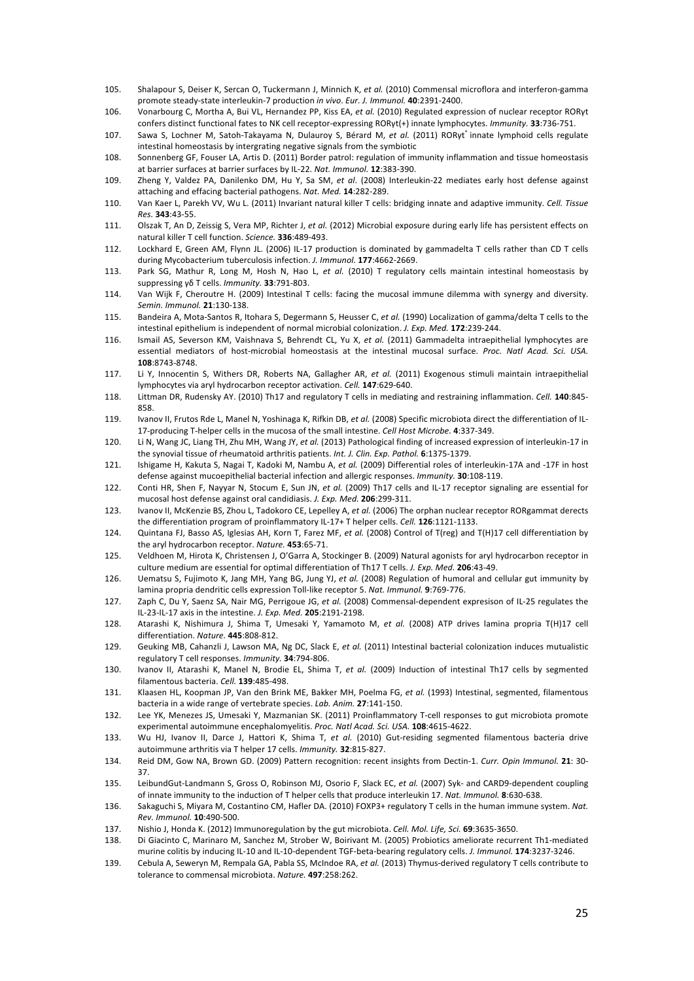- 105. Shalapour S, Deiser K, Sercan O, Tuckermann J, Minnich K, et al. (2010) Commensal microflora and interferon-gamma promote steady-state interleukin-7 production in vivo. Eur. J. Immunol. 40:2391-2400.
- 106. Vonarbourg C, Mortha A, Bui VL, Hernandez PP, Kiss EA, et al. (2010) Regulated expression of nuclear receptor RORγt confers distinct functional fates to NK cell receptor-expressing RORγt(+) innate lymphocytes. *Immunity*. **33**:736-751.
- 107. Sawa S, Lochner M, Satoh-Takayama N, Dulauroy S, Bérard M, et al. (2011) RORyt<sup>+</sup> innate lymphoid cells regulate intestinal homeostasis by intergrating negative signals from the symbiotic
- 108. Sonnenberg GF, Fouser LA, Artis D. (2011) Border patrol: regulation of immunity inflammation and tissue homeostasis at barrier surfaces at barrier surfaces by IL-22. Nat. Immunol. 12:383-390.
- 109. Zheng Y, Valdez PA, Danilenko DM, Hu Y, Sa SM, *et gl.* (2008) Interleukin-22 mediates early host defense against attaching and effacing bacterial pathogens. Nat. Med. 14:282-289.
- 110. Van Kaer L, Parekh VV, Wu L. (2011) Invariant natural killer T cells: bridging innate and adaptive immunity. *Cell. Tissue Res.!***343**:43?55.&
- 111. Olszak T, An D, Zeissig S, Vera MP, Richter J, et al. (2012) Microbial exposure during early life has persistent effects on natural killer T cell function. Science. 336:489-493.
- 112. Lockhard E, Green AM, Flynn JL. (2006) IL-17 production is dominated by gammadelta T cells rather than CD T cells during Mycobacterium tuberculosis infection. *J. Immunol.* **177**:4662-2669.
- 113. Park SG, Mathur R, Long M, Hosh N, Hao L, et al. (2010) T regulatory cells maintain intestinal homeostasis by suppressing  $νδ T$  cells. *Immunitv*. **33**:791-803.
- 114. Van Wijk F, Cheroutre H. (2009) Intestinal T cells: facing the mucosal immune dilemma with synergy and diversity. *Semin.!Immunol.!***21**:130?138.&
- 115. Bandeira A, Mota-Santos R, Itohara S, Degermann S, Heusser C, et al. (1990) Localization of gamma/delta T cells to the intestinal epithelium is independent of normal microbial colonization. *J. Exp. Med.* **172**:239-244.
- 116. Ismail AS, Severson KM, Vaishnava S, Behrendt CL, Yu X, et al. (2011) Gammadelta intraepithelial lymphocytes are essential mediators of host-microbial homeostasis at the intestinal mucosal surface. *Proc. Natl Acad. Sci. USA.* **108**:8743?8748.
- 117. Li Y, Innocentin S, Withers DR, Roberts NA, Gallagher AR, *et al.* (2011) Exogenous stimuli maintain intraepithelial lymphocytes via aryl hydrocarbon receptor activation. Cell. 147:629-640.
- 118. Littman DR, Rudensky AY. (2010) Th17 and regulatory T cells in mediating and restraining inflammation. Cell. 140:845-858.
- 119. Ivanov II, Frutos Rde L, Manel N, Yoshinaga K, Rifkin DB, et al. (2008) Specific microbiota direct the differentiation of IL-17-producing T-helper cells in the mucosa of the small intestine. Cell Host Microbe. 4:337-349.
- 120. Li N, Wang JC, Liang TH, Zhu MH, Wang JY, et al. (2013) Pathological finding of increased expression of interleukin-17 in the synovial tissue of rheumatoid arthritis patients. Int. J. Clin. Exp. Pathol. 6:1375-1379.
- 121. Ishigame H, Kakuta S, Nagai T, Kadoki M, Nambu A, et al. (2009) Differential roles of interleukin-17A and -17F in host defense against mucoepithelial bacterial infection and allergic responses. Immunity. 30:108-119
- 122. Conti HR, Shen F, Nayyar N, Stocum E, Sun JN, et al. (2009) Th17 cells and IL-17 receptor signaling are essential for mucosal host defense against oral candidiasis. *J. Exp. Med.* 206:299-311.
- 123. Ivanov II, McKenzie BS, Zhou L, Tadokoro CE, Lepelley A, *et al.* (2006) The orphan nuclear receptor RORgammat derects the differentiation program of proinflammatory IL-17+ T helper cells. *Cell.* 126:1121-1133.
- 124. Quintana FJ, Basso AS, Iglesias AH, Korn T, Farez MF, et al. (2008) Control of T(reg) and T(H)17 cell differentiation by the aryl hydrocarbon receptor. Nature. 453:65-71.
- 125. Veldhoen M, Hirota K, Christensen J, O'Garra A, Stockinger B. (2009) Natural agonists for aryl hydrocarbon receptor in culture medium are essential for optimal differentiation of Th17 T cells. *J. Exp. Med.* 206:43-49.
- 126. Uematsu S, Fujimoto K, Jang MH, Yang BG, Jung YJ, et al. (2008) Regulation of humoral and cellular gut immunity by lamina propria dendritic cells expression Toll-like receptor 5. Nat. Immunol. 9:769-776.
- 127. Zaph C, Du Y, Saenz SA, Nair MG, Perrigoue JG, et al. (2008) Commensal-dependent expresison of IL-25 regulates the IL-23-IL-17 axis in the intestine. *J. Exp. Med.* **205**:2191-2198.
- 128. Atarashi K, Nishimura J, Shima T, Umesaki Y, Yamamoto M, et al. (2008) ATP drives lamina propria T(H)17 cell differentiation. Nature. **445**:808-812.
- 129. Geuking MB, Cahanzli J, Lawson MA, Ng DC, Slack E, et al. (2011) Intestinal bacterial colonization induces mutualistic regulatory T cell responses. *Immunity*. **34**:794-806.
- 130. Ivanov II, Atarashi K, Manel N, Brodie EL, Shima T, et al. (2009) Induction of intestinal Th17 cells by segmented filamentous bacteria. Cell. **139**:485-498.
- 131. Klaasen HL, Koopman JP, Van den Brink ME, Bakker MH, Poelma FG, et al. (1993) Intestinal, segmented, filamentous bacteria in a wide range of vertebrate species. Lab. Anim. 27:141-150.
- 132. Lee YK, Menezes JS, Umesaki Y, Mazmanian SK. (2011) Proinflammatory T-cell responses to gut microbiota promote experimental autoimmune encephalomyelitis. *Proc. Natl Acad. Sci. USA.* **108**:4615-4622.
- 133. Wu HJ, Ivanov II, Darce J, Hattori K, Shima T, et al. (2010) Gut-residing segmented filamentous bacteria drive autoimmune arthritis via T helper 17 cells. *Immunity*. **32**:815-827.
- 134. Reid DM, Gow NA, Brown GD. (2009) Pattern recognition: recent insights from Dectin-1. Curr. Opin Immunol. 21: 30-37.&
- 135. LeibundGut-Landmann S, Gross O, Robinson MJ, Osorio F, Slack EC, et al. (2007) Syk- and CARD9-dependent coupling of innate immunity to the induction of T helper cells that produce interleukin 17. Nat. Immunol. **8**:630-638.
- 136. Sakaguchi S, Miyara M, Costantino CM, Hafler DA. (2010) FOXP3+ regulatory T cells in the human immune system. Nat. *Rev.!Immunol.!***10**:490?500.
- 137. Nishio J, Honda K. (2012) Immunoregulation by the gut microbiota. Cell. Mol. Life, Sci. 69:3635-3650.
- 138. Di Giacinto C, Marinaro M, Sanchez M, Strober W, Boirivant M. (2005) Probiotics ameliorate recurrent Th1-mediated murine colitis by inducing IL-10 and IL-10-dependent TGF-beta-bearing regulatory cells. *J. Immunol.* **174**:3237-3246.
- 139. Cebula A, Seweryn M, Rempala GA, Pabla SS, McIndoe RA, et al. (2013) Thymus-derived regulatory T cells contribute to tolerance to commensal microbiota. Nature. **497**:258:262.